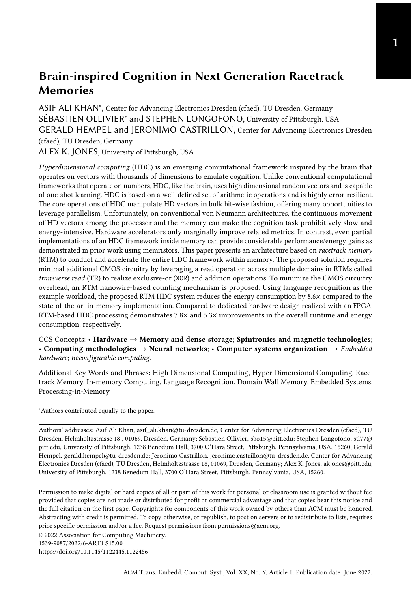[ASIF ALI KHAN](HTTPS://ORCID.ORG/0000-0002-5130-9855)<sup>\*</sup>, Center for Advancing Electronics Dresden (cfaed), TU Dresden, Germany [SÉBASTIEN OLLIVIER](HTTPS://ORCID.ORG/XXXX)<sup>\*</sup> and STEPHEN LONGOFONO, University of Pittsburgh, USA GERALD HEMPEL and [JERONIMO CASTRILLON,](HTTPS://ORCID.ORG/0000-0002-5007-445X) Center for Advancing Electronics Dresden (cfaed), TU Dresden, Germany ALEX K. JONES, University of Pittsburgh, USA

Hyperdimensional computing (HDC) is an emerging computational framework inspired by the brain that operates on vectors with thousands of dimensions to emulate cognition. Unlike conventional computational frameworks that operate on numbers, HDC, like the brain, uses high dimensional random vectors and is capable of one-shot learning. HDC is based on a well-defined set of arithmetic operations and is highly error-resilient. The core operations of HDC manipulate HD vectors in bulk bit-wise fashion, offering many opportunities to leverage parallelism. Unfortunately, on conventional von Neumann architectures, the continuous movement of HD vectors among the processor and the memory can make the cognition task prohibitively slow and energy-intensive. Hardware accelerators only marginally improve related metrics. In contrast, even partial implementations of an HDC framework inside memory can provide considerable performance/energy gains as demonstrated in prior work using memristors. This paper presents an architecture based on racetrack memory (RTM) to conduct and accelerate the entire HDC framework within memory. The proposed solution requires minimal additional CMOS circuitry by leveraging a read operation across multiple domains in RTMs called transverse read (TR) to realize exclusive-or (XOR) and addition operations. To minimize the CMOS circuitry overhead, an RTM nanowire-based counting mechanism is proposed. Using language recognition as the example workload, the proposed RTM HDC system reduces the energy consumption by 8.6× compared to the state-of-the-art in-memory implementation. Compared to dedicated hardware design realized with an FPGA, RTM-based HDC processing demonstrates 7.8× and 5.3× improvements in the overall runtime and energy consumption, respectively.

CCS Concepts: • Hardware  $\rightarrow$  Memory and dense storage; Spintronics and magnetic technologies; • Computing methodologies  $\rightarrow$  Neural networks; • Computer systems organization  $\rightarrow$  *Embedded* hardware; Reconfigurable computing.

Additional Key Words and Phrases: High Dimensional Computing, Hyper Dimensional Computing, Racetrack Memory, In-memory Computing, Language Recognition, Domain Wall Memory, Embedded Systems, Processing-in-Memory

<sup>∗</sup>Authors contributed equally to the paper.

Authors' addresses: [Asif Ali Khan,](https://orcid.org/0000-0002-5130-9855) asif\_ali.khan@tu-dresden.de, Center for Advancing Electronics Dresden (cfaed), TU Dresden, Helmholtzstrasse 18 , 01069, Dresden, Germany; [Sébastien Ollivier,](https://orcid.org/XXXX) sbo15@pitt.edu; Stephen Longofono, stl77@ pitt.edu, University of Pittsburgh, 1238 Benedum Hall, 3700 O'Hara Street, Pittsburgh, Pennsylvania, USA, 15260; Gerald Hempel, gerald.hempel@tu-dresden.de; [Jeronimo Castrillon,](https://orcid.org/0000-0002-5007-445X) jeronimo.castrillon@tu-dresden.de, Center for Advancing Electronics Dresden (cfaed), TU Dresden, Helmholtzstrasse 18, 01069, Dresden, Germany; Alex K. Jones, akjones@pitt.edu, University of Pittsburgh, 1238 Benedum Hall, 3700 O'Hara Street, Pittsburgh, Pennsylvania, USA, 15260.

Permission to make digital or hard copies of all or part of this work for personal or classroom use is granted without fee provided that copies are not made or distributed for profit or commercial advantage and that copies bear this notice and the full citation on the first page. Copyrights for components of this work owned by others than ACM must be honored. Abstracting with credit is permitted. To copy otherwise, or republish, to post on servers or to redistribute to lists, requires prior specific permission and/or a fee. Request permissions from permissions@acm.org.

© 2022 Association for Computing Machinery.

1539-9087/2022/6-ART1 \$15.00

<https://doi.org/10.1145/1122445.1122456>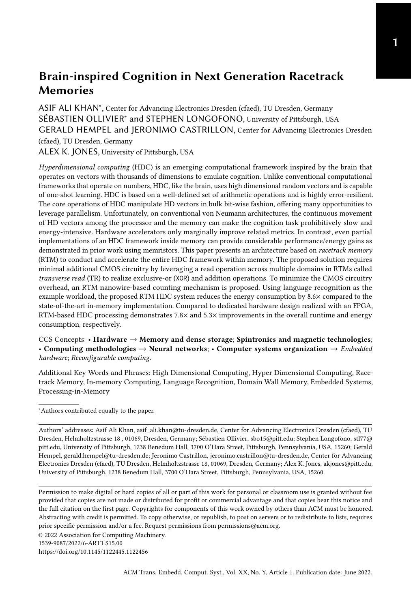#### ACM Reference Format:

Asif Ali Khan, Sébastien Ollivier, Stephen Longofono, Gerald Hempel, Jeronimo Castrillon, and Alex K. Jones. 2022. Brain-inspired Cognition in Next Generation Racetrack Memories. ACM Trans. Embedd. Comput. Syst. XX, Y, Article 1 (June 2022), [29](#page-28-0) pages.<https://doi.org/10.1145/1122445.1122456>

#### <span id="page-1-0"></span>1 INTRODUCTION

The success of machine learning has fueled the transformation of industry and society in recent decades. A key factor for the ubiquity of these learning algorithms is their use in mobile devices such as smartphones, tablets, or sensor networks. However, classic approaches such as deep learning require enormous computing and power resources [\[57\]](#page-26-0). For example, training of a single transformer-based deep learning model requires weeks on modern GPUs and produces carbon footprints (a proxy for energy consumption)  $\approx$  5 $\times$  more than the entire lifetime carbon footprint of a passenger car [\[56\]](#page-26-1). Unfortunately, these characteristics are at odds with the requirements of many IoT devices, namely limited bandwidth, memory and compute power, and battery capacity. Architectural innovations such as near-memory and in-memory computing, along with the alternate models for machine learning such as hyperdimensional computing, substantially reduce the area and energy consumption of cognitive-inspired computing systems without compromising accuracy [\[21\]](#page-25-0).

The idea of hyperdimensional computing (HDC) is inspired by biological systems that generally combine sufficient accuracy with a very high energy efficiency. Compared to conventional machine learning models, HDC is more robust and error-resilient [\[19\]](#page-24-0) as well as more compute and energy efficient [\[8,](#page-24-1) [53\]](#page-26-2). Moreover, HDC provides comparable accuracy to the highest fidelity ML models (cf. Table 2 in [\[10\]](#page-24-2)). HDC frameworks mainly operate on binary or bi-polar hypervectors, typically having thousands of dimensions [\[19\]](#page-24-0). The base or seed hypervectors are randomly generated and describe input features. In HDC training, class hypervectors are generated by performing a set of basic algebraic operations (XOR, permutation, addition, thresholding, and multiplication) that combine several hypervectors and the properties of the desired class. In inference, the same encoding is applied to the input data to generate a query hypervector and reason about a given dataset. The query hypervector is then classified by performing a similarity match operation.

With conventional von Neumann machines, shuttling of hypervectors between the memory and the processor makes the overall classification process prohibitively slow. To overcome this, state-of-the-art proposals use accelerators and near-memory processing to achieve parallelism and energy efficiency [\[5,](#page-24-3) [48,](#page-26-3) [49\]](#page-26-4). Since the algebraic operations in most of the HDC frameworks are memory intensive and inherently parallel, they are particularly well-suited for in-memory computing. Furthermore, in most emerging memory technologies, the physical properties of the memory cells can be exploited to realize some, if not all, HDC operations in place [\[13,](#page-24-4) [50\]](#page-26-5).

In one of the most recent works, an entire HDC framework is implemented on an integrated system using memristor crossbars with additional CMOS logic [\[21\]](#page-25-0). Specifically, the multiplication operation required for "binding" and "similarity search" operations is implemented using phase change memory (PCM) crossbars while the addition, permutation and thresholding operations are realized by additional near-memory CMOS logic. Although the in-PCM HDC system significantly reduces energy consumption (by more than  $6\times$ ), it has three major limitations. First, the additional CMOS logic incurs large area and energy penalties. In the ideal case, the entire framework should be implemented using memory devices. Second, the write operation in resistive memories such as PCM is extremely expensive (in terms of latency and energy) and induces wear on the endurance-limited cells. Although the proposed solutions avoid repetitive programming of the memristive devices, the fundamental problem of expensive writes and finite endurance remains. Third, memristive devices compute values in the analog domain. Besides accuracy implications, which are not as severe due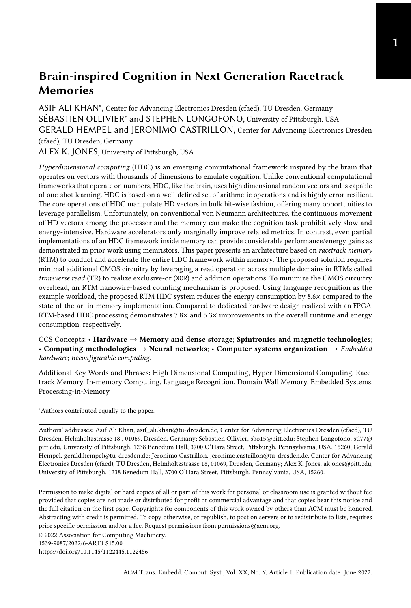to the inherent resilience of HDC, analog computation requires power hungry [\[55\]](#page-26-6) back-and-forth conversion between the analog and digital domains (via ADC/DAC).

To overcome these challenges, we use another class of emerging nonvolatile memory technologies called racetrack memory (RTM) or domain wall memory (DWM) [\[2\]](#page-24-5) to implement the entire HDC framework. An RTM cell consists of a magnetic nanowire that stores multiple data bits in magnetic domains and is associated with one or more access ports. RTM promises to realize the entire framework in the digital domain with relatively low additional logic and without compromising on accuracy.

We present HyperDimensional Computing in Racetrack (HDCR), a complete in-RTM HDC system where all HDC operations are implemented in RTM using the RTM device characteristics. Namely, a novel access mode called transverse read (TR) [\[51\]](#page-26-7) is used to conduct processing within the RTM [\[38,](#page-25-1) [39\]](#page-26-8). By applying a sub-shift-threshold current across two access points along the nanowire, the resistance state of the nanowire can be used to count '1's at each bit position across multiple adjacent data words within the memory. HDCR leverages the TR operation and makes appropriate changes to the peripheral circuitry to realize the XOR operation, and efficient counters. Together with our design for in-memory majority operation, and "permutation," TR enables all necessary HDC processing operations to be performed in a highly parallel fashion within RTM.

Our experimental results show that for the well-known use case of language recognition, our HDC system is an order of magnitude faster than the state-of-the-art FPGA solution and consumes 5.3× and 8.6× less energy compared to the state-of-the-art FPGA and PCM-crossbar solutions, respectively.

The main contributions of this paper are as follows:

- (1) We present a complete HDC system with precise control and datapaths based on nonvolatile racetrack memory.
- (2) For the rotation operation, we make necessary changes to the RTM row buffer to enable rotation of HD vectors with a simple copy (read and write) operation.
- (3) We propose a first RTM nanowires-based counter design to perform the majority operation and compute the Hamming weight.
- (4) For binding, we implement the XOR logic by doing a transverse read operation and using the modified row buffer to infer the result.
- (5) For bundling, we use RTM counters to find the majority output at each position in the hypervectors.
- (6) For comparison with the class vectors, we compute the Hamming distance between the query vector and each class vector leveraging a TR-based XOR operation and the RTM counter.
- (7) We evaluate our system on a standard benchmark and compare the runtime and energy consumption with state-of-the-art FPGA [\[48\]](#page-26-3) and in-PCM implementations [\[21\]](#page-25-0).

The remainder of this paper is organized as follows: Section [2](#page-3-0) provides background information about HDC, language recognition, RTM and TR. Section [3](#page-8-0) proposes the architectural modification needed to perform operations inside RTM and explains the implementation of our RTM counter. Section [4](#page-10-0) explains different HDCR modules and their integration to perform HDC operations in RTM. Section [5](#page-17-0) evaluates HDCR, demonstrating the energy and latency advantages of using RTM. Section [6](#page-21-0) presents some of the most related work in the literature. Finally, Section [7](#page-23-0) concludes the paper.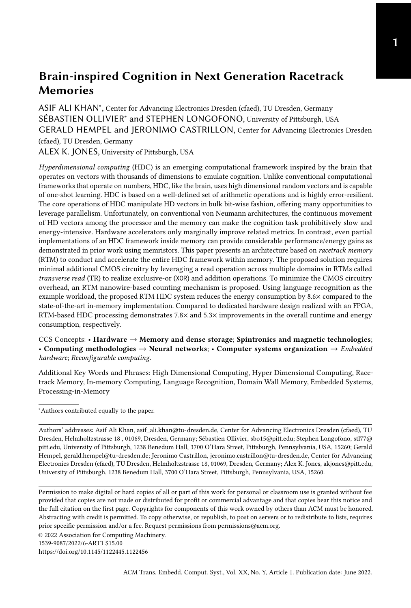#### <span id="page-3-0"></span>2 BACKGROUND

In this section, we introduce the fundamentals of HDC, its major operations, and main components. We then describe our use case and provide details on classes and input features/symbols. Finally, we provide background on RTM technology, its properties and organization, and the working principles of the transverse read operation.

# <span id="page-3-2"></span>2.1 Hyperdimensional Computing

Hyperdimensional computing, also referred to as brain-inspired computing, is based on the observation that neural activity patterns can be regarded as one fundamental component behind cognitive processes. These patterns can be modeled by leveraging the mathematical properties of hyperdimensional spaces. In conjunction with a well-defined algebra, they can be used to implement machine learning tasks with less computational effort than other approaches such as the support vector machine (SVM) algorithm  $[12]$ . Since the dimension D of the hyperdimensional space is on the order of  $10<sup>4</sup>$ , this approach is extremely robust to variation and errors within its hypervectors.

In HD computing, each hypervector (HV) describes a unique point in space and encodes either a feature, a group of features, or a class in the given machine learning problem. As shown in Fig. [1-](#page-4-0)I, the base or seed hypervectors describe input features, and are randomly generated. In HDC training, a set of algebraic operations—*i.e.*, binding, bundling, permutation, and similarity check—are performed on the seed hypervectors and their intermediate results are used to generate class hypervectors. Each class hypervector represents a class in the data set. In HDC inference, the same encoding is applied to the input data to generate a *query* hypervector. The query hypervector is then classified into one of the classes by performing a similarity check operation.

Various HDC frameworks exist that implement HDC in different ways such as (1) using different types of hypervectors (bipolar, binary, integer, etc.), (2) using a different distribution of elements in hypervectors (sparse and dense hypervectors), and (3) employing a different set of algebraic operations. A detailed comparison of these frameworks is presented in [\[48,](#page-26-3) [54\]](#page-26-9). Since we focus on a digital, in-memory implementation of HDC, we consider a binary HDC subset. Thus hypervectors consist of binary values and the framework leverages Boolean operations to implement the required algebraic operations. For the hypervectors, we consider the dimensionality of a hypervector  $D =$ 8192 and a probability of  $P = 0.5$  for each component to be a one or a zero. This is because, for our selected use case,  $D = 8192$  does not have any considerable impact on the accuracy (only reduces it from 97.8% to 97.7%) while still leaving the memory to be used by other general-purpose applications.

We use the Hamming distance  $d_H(\vec{a}, \vec{b})$  metric to compare the hypervectors  $\vec{a}$  and  $\vec{b}$ , resulting in the normalized number of dissimilar elements of both vectors. For large vector sizes, the Hamming distance between random vector pairs, in 98% of the cases, results in  $d_H(\vec{a}, \vec{b}) = D/2$ . In this context, we classify any two vectors as similar ( $d_H < 0.5$ ) or dissimilar ( $d_H \ge 0.5$ ). Since  $d_H(\vec{a}, \vec{b}) \approx$  $B(D, P = 1/2)$  with B representing the binomial distribution, random, *i.e.*, unrelated, vectors are unlikely to deviate from  $D/2$ . Thus, HDC defines sufficiently dissimilar (e.g.,  $d_H \geq 0.5$ ) vectors to be orthogonal<sup>[1](#page-3-1)</sup>.

In the context of HDC for binary hypervectors, relevant algebraic operations are:

• Binding is used for combining related hypervectors. This operation is implemented as an element-wise XOR operation between N hypervectors e.g.,  $\vec{c} = \vec{x_1} \oplus \vec{x_2} \dots \vec{x_N}$  binds  $\vec{x_i} : i =$  $1, 2, \ldots, N$  together.

<span id="page-3-1"></span><sup>&</sup>lt;sup>1</sup>Mathematically, orthogonal vectors would have  $d_H = 1$ , HDC relaxes this definition to  $d_H \ge 0.5$  because it is attempting to distinguish between similar and dissimilar vectors. HDC redefines vectors with  $d_H = 1$  as diametrically opposed.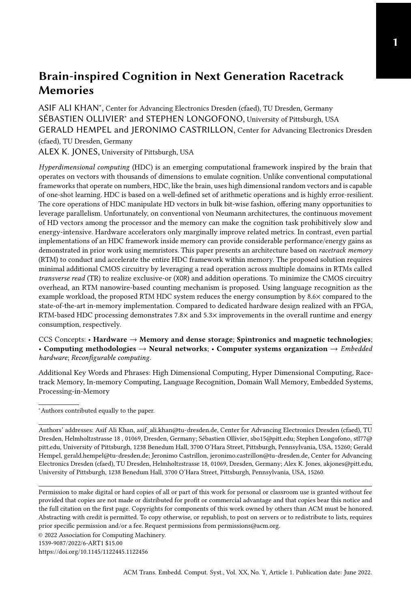- Permutation is used to generate a new hypervector that is orthogonal to the original hypervector by performing a reversible operation. The permutation is a unary operation  $\vec{x_0} = \rho(\vec{x})$  such that the resulting vector  $\vec{x_0}$  is orthogonal to  $\vec{x}$ . In the context of this work, we use piece-wise circular shifts to perform this operation (see Section [4.3.1\)](#page-13-0). Rotating a hypervector *n* times is expressed as  $\vec{x_p} = \rho^n(\vec{x})$ .
- Bundling is used to generate a hypervector representing a set of hypervectors. This operation is implemented by performing the vector sum and element-wise thresholding, also referred to as the majority operation. For an even number of binary hypervectors, the tie is broken by a fixed random hypervector. The bundling operation generates a representative hypervector which is non-orthogonal to the operand hypervectors.
- Similarity Check: The similarity check operation compares the query hypervector to all class hypervectors to find the closest match. Different frameworks use a variety of similarity metrics. For this work, we use Hamming distance and compare the Hamming weights of the query and class hypervectors. The operation is implemented as an XOR followed by the population count operation (see Section [4.4.](#page-16-0))

# <span id="page-4-1"></span>2.2 Use Case: Language Recognition

In the context of this work, we use the language recognition (LR) classification task, which has already been used as a benchmark by other HDC approaches in the literature [\[21,](#page-25-0) [48,](#page-26-3) [49\]](#page-26-4). With this example application, we demonstrate the scalability and efficiency of our architecture compared to the state-of-the-art FPGA [\[48\]](#page-26-3) and in-memory [\[21\]](#page-25-0) implementations. We use the language recognition code published on [\[47\]](#page-26-10) that classifies an input text to one of 22 European languages. The input features consist of 26 letters of the Latin alphabet and the space character (represented by  $\tau$ ). As a first step in building the hyperdimensional (HD) model, hypervectors are generated for all input letters and are stored in an *item memory* (IM)  $\Theta = \{a \rightarrow \vec{a}, b \rightarrow \vec{b}, \dots, z \rightarrow \vec{z}, \tau \rightarrow \vec{\tau}\}$  (see Fig. [1-](#page-4-0)I). The dimensionality of the hypervectors ( $D = 8192$ ) is carefully chosen to ensure better utilization of the memory architecture.

After the IM is created, the training of the HD model is carried out using one text for each of the 22 languages. In order to model the probability distribution of individual letters in the respective language, the text is broken down into substrings of length  $N$  called  $N-grams$ . In the binding

<span id="page-4-0"></span>

Fig. 1. An overview of the HDC operations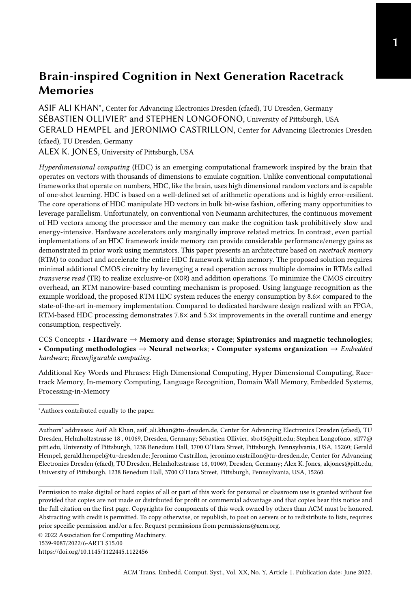operation, a hypervector is generated for each N-gram of the input text, which is subsequently combined by the bundling operation into a single hypervector. This is in contrast to models which use dictionaries and banks of phrases, which increases the complexity of similarity checking without a commensurate advantage in accuracy or efficiency [\[58\]](#page-26-11). For example, the first N-gram of the phrase "dont panic" for  $N = 4$  would be "dont". This is encoded to a single N-gram vector, as shown in Fig. [1-](#page-4-0)II, by permuting and XORing the individual hypervectors from the IM  $\overline{(\Theta)}$  as follows:  $\vec{\Phi}_{dont} = \rho^3(\vec{d}) \oplus \rho^2(\vec{0}) \oplus \rho(\vec{n}) \oplus \vec{t}$ . Due to the properties of the selected encoding, all generated N-gram vectors  $V_z$  =  $\{\vec{\Phi}_{dont},\vec{\Phi}_{ont\tau},\ldots,\vec{\Phi}_{anic}\}$  are orthogonal. Finally, the language vector  $\vec{\mathcal{T}}$  is generated as follows:  $\vec{\tilde{\mathcal{T}}}$  = Majority ( $\vec{\Phi}_{dont}, \vec{\Phi}_{ont\tau}, \dots, \vec{\Phi}_{anic}$ ) (see Fig. [1-](#page-4-0)III). In the training phase,  $\vec{\tau}$  represents a (language) class hypervector  $\vec{\mathcal{L}}$  and is stored in the associative memory. In the inference phase of HDC,  $\vec{\mathcal{T}}$ , the query hypervector, represents the input sentences or phrases and is generated with exactly the same operations.

After the query hypervector is generated, the distance between the query vector and the class vectors must be determined. As shown in Fig. [1-](#page-4-0)IV and mentioned in Section [1,](#page-1-0) this is done by calculating the Hamming distance between the input vector and each of the 22 class vectors  $d_h(\vec{\mathcal{T}}, \vec{\mathcal{L}}) = \text{cnt}_h(\vec{\mathcal{T}} \oplus \vec{\mathcal{L}})$ . The Hamming distance is computed by performing an element-wise XOR operation followed by a population count on the resultant vector. As a final step,  $\vec{\tau}$  is classified into  $\vec{\mathcal{L}}_{\xi}$  where  $\xi$  =  $\operatorname{argmin}_{i \in \{1,...,22\}}$   $d_H$   $\vec{\mathcal{T}}, \vec{\mathcal{L}}_i$ .

This method is based on the fact that the language vectors lie in a linear space that is spanned by a unique N-gram distribution of the associated language. The class vector with the closest N-gram distribution has the smallest distance to the input vector and represents the resulting language.

#### <span id="page-5-1"></span>2.3 Racetrack Memory

The basic storage unit in racetrack memory is a magnetic nanowire that can be grown vertically or horizontally on a silicon wafer, as shown in Fig. [2.](#page-5-0) The nanoscale magnetic wires, also referred to as tracks or racetracks, can be physically partitioned into tiny magnetic regions called domains that are delineated by domain walls (DWs) wherever the magnetization changes. This magnetization direction can be based on either in-plane  $(\pm X)$  or perpendicular  $(\pm Z)$  magnetic anisotropy. The state of any given domain exhibits a different resistance when it is parallel/antiparallel to a fixed reference domain, which can be interpreted as bits representing 1s and 0s [\[2\]](#page-24-5). Generally, each track in RTM has its associated *access ports* (APs) and can store  $K$  bits delineated by  $K - 1$  physical notches along the nanowire, where  $K$  can be up to 128. The number of APs per nanowire is usually less than the number of domains due to the larger footprint of the APs [\[69\]](#page-27-0). This mismatch in the number of domains and APs leads to compulsory shifts, i.e., each random access requires two steps to complete:  $\Omega$  shift the target domain and align it to an AP and  $\Omega$  apply an appropriate voltage/current to read or write the target bit.

<span id="page-5-0"></span>

Fig. 2. RTM nanowire structure (A) and anatomy(B).

ACM Trans. Embedd. Comput. Syst., Vol. XX, No. Y, Article 1. Publication date: June 2022.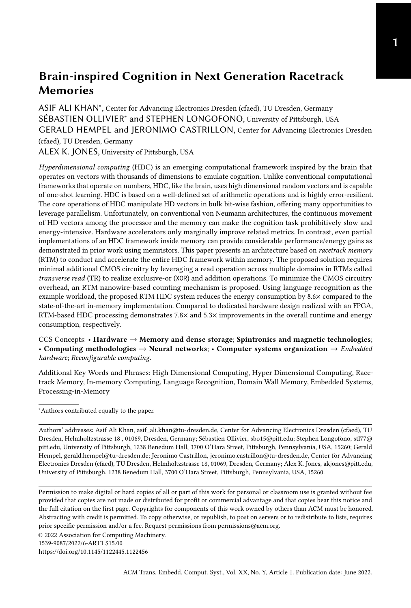Shifting is conducted by passing spin-polarized current along the nanowire from either an access point or an endpoint to another access or endpoint; sufficient densities of spin-polarized current can overcome a potential well ("pinning") created at notches and in turn advance all the domain walls toward the next notch position. This inherent behavior of RTM can be imprecise, generating what is known as a "shifting fault" in the literature. Several solutions have been proposed to mitigate this fault mode [\[1,](#page-24-7) [38,](#page-25-1) [67\]](#page-27-1). Due to shifting, the access latency of RTM is limited by the velocity with which domains move within the nanowire as well as the amount of shifts. The maximum number of domains per track depends on device parameters, but considering the user/application requirements and the number of APs, the number of addressable domains per track varies to accommodate shifting each addressable domain to align with any port.

Fig. [2](#page-5-0) depicts the major components of an RTM nanowire and its access circuitry. The blue domains represent the actual data stored in memory. The yellow domains are extra domains used to prevent data loss while shifting domain walls (and the data between them) along the nanowire. The dark blue elements and the connected access transistors form read-only or read-write ports. A read-only port has a fixed magnetic layer, indicated in dark blue, which can be read using RWL. The read-write port is shown using shift-based writing [\[61\]](#page-26-12) where WWL is opened and the direction of current flows between BL and  $\overline{BL}$ . Reading is conducted from  $\overline{BL}$  through the domain and RWL to GND.

Similar to contemporary memory technologies, RTM cells are grouped together to form a 2D memory array. To minimize the integration complexity, we deliberately conserve a DRAM hierarchical organization consisting of banks, subarrays, and tiles, as shown in Fig. [3.](#page-6-0) As illustrated, the basic building block of the RTM array is a group of  $T$  nanowires and is referred to as a *domain* wall block cluster (DBC) [\[23,](#page-25-2) [59\]](#page-26-13). A DBC therefore can accommodate  $K$   $T$ -bit memory objects. Data in a DBC is distributed across nanowires, which facilitates parallel access of all bits belonging to the same data word. Access ports of all T tracks of a DBC point to the same location and domains can be moved together in a lock-step fashion. For our proposed system, we use  $K = 32$  and  $T = 512$ , the standard cache line size, as shown in Fig. [3.](#page-6-0) Note that for simplicity, we do not show the overhead domains in Fig. [3](#page-6-0) and  $K$  refers to only addressable domains in the nanowires. We assume 16 DBCs per tile, 16 tiles per subarray. Furthermore, we assume a single compute in memory (CIM) tile or cim-tile per subarray, capable of performing in-RTM computations (see Section [3\)](#page-8-0).

RTM strengths, challenges and developments: Table [1](#page-7-0) provides a direct comparison of RTMs to other memory technologies. RTM offers high-performance SRAM comparable latency with extremely low leakage power and higher write endurance compared to other non-volatile memory

<span id="page-6-0"></span>

Fig. 3. RTM organization. SA stands for subarray, domain wall block clusters (DBCs) for domain wall block cluster, AP for access port, and SensAmp for sense amplifier.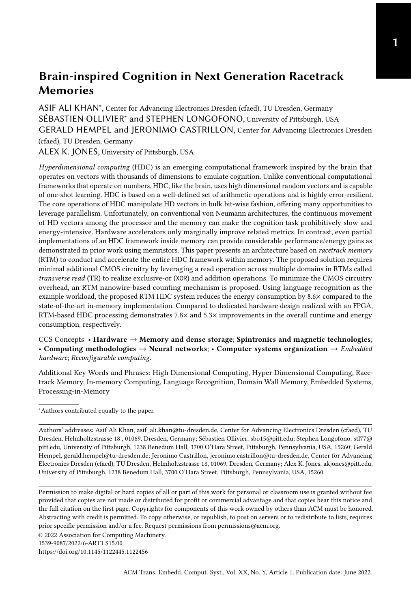<span id="page-7-0"></span>

|                         | <b>SRAM</b>       | <b>DRAM</b>  | STT-MRAM           | ReRAM     | <b>PCM</b>      | RaceTrack 4.0       |
|-------------------------|-------------------|--------------|--------------------|-----------|-----------------|---------------------|
| Cell Size $(F^2)$       | 120-200           | $4 - 8$      | $6 - 50$           | $4 - 10$  | $4 - 12$        | $\leq 2$            |
| Write Endurance         | $> 10^{16}$       | $> 10^{16}$  | $4 \times 10^{12}$ | $10^{11}$ | 10 <sup>9</sup> | $> 10^{16}$         |
| Read Time (ns)          | $1 - 100$         | 30           | $3 - 15$           | $10 - 20$ | $5 - 20$        | $3 - 250^{\dagger}$ |
| Write Time (ns)         | $1 - 100$         | 30           | $3 - 15$           | 20        | >30             | $3 - 250^{\dagger}$ |
| Write Energy            | Low               | Medium       | High               | High      | High            | Low                 |
| Read Energy             | Low               | Medium       | Medium             | Medium    | Medium          | Low                 |
| Leakage Power           | High              | Medium       | Low                | Low       | Low             | Low                 |
| <b>Retention Period</b> | Voltage-dependent | $64 - 512ms$ | Variable           | Years     | Years           | Years               |

Table 1. Comparison of RTMs with other memory technologies [\[2\]](#page-24-5)

† including shift latency

technologies. However, due to the device's sequentiality, RTM access latency and energy consumption depend on the number of required shift operations. In the worst case, the RTM access latency can be 25.6× higher compared to an iso-capacity SRAM [\[60\]](#page-26-14). In addition, shifts can also incur position and alignment faults. A number of solutions have been proposed to optimize RTM performance through shift minimization [\[2\]](#page-24-5). Additionally, solutions have been proposed to detect and correct RTM misalignments [\[38,](#page-25-1) [67\]](#page-27-1).

In recent years, RTMs have seen fundamental breakthroughs in device physics. In the earliest version of RTM [\[42\]](#page-26-15), controlled movement of domain walls in the nanowires was not only challenging but also extremely slow. Later, the same authors demonstrated accurate movement of domain walls with up to 10× higher velocities [\[43\]](#page-26-16). More recently, the field-driving magnetic domain wall mobility has remarkably enhanced to 20 km/sT [\[25\]](#page-25-3), more than  $20\times$  faster compared to the previous version or a two-order of magnitude improvement over the original prototypes. Similarly, moving domain walls in ferromagnetic materials with an exchange coupling torque [\[3\]](#page-24-8) has shown promise to reduce the critical current density to reduce shift energy. The data access devices, magnetic tunnel junctions (MTJs), have also attracted significant interest and have observed considerable improvements in performance and thermal stability by employing different materials ( $e.g., MgO$ as a tunneling barrier) and adopting different switching mechanisms (such as spin-orbit torque instead of spin-transfer torque). These newer MTJs allow for ultrafast magnetization switching, in sub-ns, with extremely low incident power [\[45\]](#page-26-17).

Transverse Read Operation in RTM: The transverse read (TR) operation is an alternate access mode which conducts reads *along* the nanowire rather than across it [\[38\]](#page-25-1). By applying a sub-shiftthreshold current at an AP, and performing a normal read at the next nearest AP (for example, between the two access ports in Fig. [2\)](#page-5-0), it is possible to detect how many of the domains between the ports are in a particular magnetic orientation. The resultant magnitudes of the difference of resistances are small compared to the normal access mode, which limits how many domains can be accurately read in this manner without inadvertently shifting the domain walls. However, using a transverse read distance (TRD) of five domains can reliably produce a count of domains which are in either magnetic orientation [\[51\]](#page-26-7).

Prior work used this count to detect misalignment when shifting nanowires [\[38\]](#page-25-1), but this count can also be used to conduct bitwise logical operations on the data within the TRD [\[39\]](#page-26-8). Using a level-detecting sense amplifier, we can detect different voltage thresholds when  $0, 1, ..., n$  bits are set, where exceeding any given threshold implies that all lower thresholds are also exceeded. For example, if a TR is conducted across four words at a specific bit position in a nanowire, we derive logical OR if any of the thresholds are exceeded, logical AND if the threshold for four bits is exceeded, and XOR  $\iff$  the threshold exceeded  $\in \{1, 3, 5\}$ . For a fixed TR distance, these levels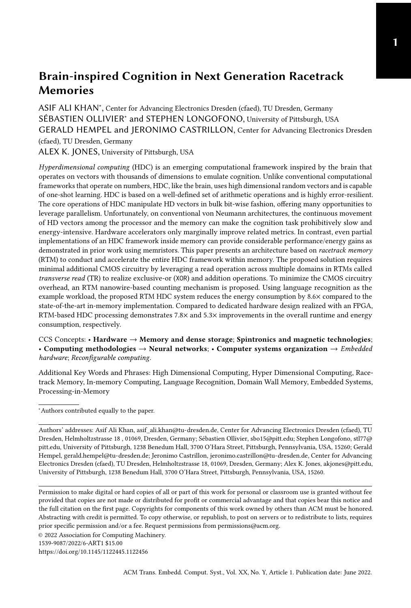can be be used to realize carry-sum operations which can be composed to realize addition and multiplication [\[39\]](#page-26-8). In the next section we show how a modified version of these level operations combined with handful of additional CMOS logic gates can be used to implement the fundamental HDC operations.

## <span id="page-8-0"></span>3 ENABLING COMPUTATION IN RACETRACK MEMORY

This section presents the extensions to the cim-tile circuitry that enable in-place logical operations and counting in RTMs.

# 3.1 Logical Operations in RTM

Similar to [\[48,](#page-26-3) [49\]](#page-26-4), we use the binary spatter-coding [\[18\]](#page-24-9) framework that has four primary operations, i.e., XOR and circular shift operations for binding, the majority for bundling, and XOR for the similarity check as described in Section [2.1.](#page-3-2)

To implement these operations in RTM, HDCR exploits the nanowires' properties and modifies the peripheral circuitry in selected RTM tiles (see Fig. [3\)](#page-6-0), referred to as compute-in-memory tiles. Concretely, one tile  $(T_{15})$  in each subarray is designated as a cim-tile. Fig. [4a](#page-8-1) shows the necessary support circuitry similar to [\[39\]](#page-26-8), with the logic required for compute-in-memory operation outlined in red. Sense amplifiers  $(S_i)$  shown in blue are aligned with access points at bitline  $B_i$  to conduct either a normal read at that bit position, or a TR as described in Section [2.](#page-3-0) During a TR operation, the sense amplifier outputs five bits indicating the five possible reference thresholds corresponding to a particular count of 1s between the access port at  $B_i$  and another access port at a  $TRD = 5$ distance in the same nanowire. For example, 2:3 indicates that the voltage threshold between 2 and 3 ones was exceeded, indicating that at least 3 ones exist in the TR. To realize TR-based computations, we introduce the CIM block as shown in Fig. [4b.](#page-8-2) Based on the thresholds representing the count of ones in the TR, and XOR is high when only the threshold for 0:1 is high or 2:3 is high with 3:4 being low, or when 4:5 is high. The results of all operations are output simultaneously, to be selected using the multiplexer immediately below the CIM blocks.

During a normal read operation, each sense amplifier outputs the value of the single bit position directly beneath the access port. This output bypasses the CIM tile and feeds directly to the first row of multiplexers to enable a fast read path. This same read path for bit line  $B_i$  is routed to the multiplexer for the prior bit line  $B_{i-1}$  and the subsequent bit line  $B_{i+1}$ , shown with orange and

<span id="page-8-1"></span>

(a) Cim-tile architecture for in-place permutation and logical operations. Additional logic relative to non-cim tiles is shown in red. 'S' is sense amplifier and 'SR' represents shift right.



<span id="page-8-2"></span>(b) CIM block gates for logical operations. Inputs i:j indicate that the reference voltages used to distinguish between i and j ones was exceeded.

Fig. 4. Cim-tile architecture.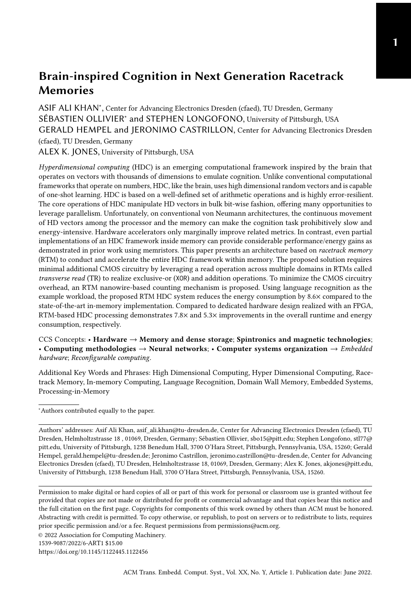turquoise arrows, respectively. These paths enable circular shifting (permutation) of words by one bit position at a time. Together with the six outputs of the CIM block, the topmost row of multiplexers selects from eight operations on the input data. The second row of multiplexers from the top is added to select from the CIM/shifting data path or the direct read path. The final row of multiplexers and the writeback drivers are identical to the architecture of the non-cim tiles; data for writeback can be fed in from local row buffers  $W_i$ , or read from the current tile to move data or write back the result of a cim operation.

Operating this circuitry requires a new pseudo-instruction in the ISA called cimop. Each cimop instruction consists of a source address (src), indicating which data to align to the access ports, a size, indicating the number of nanowires to be included in the TR operation, and  $op$ , which selects the cim operation from the topmost row of multiplexers. Note that this psuedo-instruction entails some primitive operations to conduct the alignment and pad operands for sizes less than the TRD. We assume that these primitive operations are scheduled by the compiler and conducted by the memory controller.

#### <span id="page-9-2"></span>3.2 Counting in RTM

Fig. [5a](#page-9-0) presents an overview of the proposed in-RTM counter. It combines the TR operation in the RTM nanowire with the basic read/write operations to realize counters. The RTM nanowires used for counters must be equipped with two read-write APs, necessary for the TR operation. For a base<sub>2</sub>· $\chi$  counter, the two access ports in the nanowires must be  $X - 2$  domains apart, *i.e.*, the TRD in the nanowire must be  $X$ .

<span id="page-9-1"></span><span id="page-9-0"></span>

Fig. 5. RTM counter: overview and details.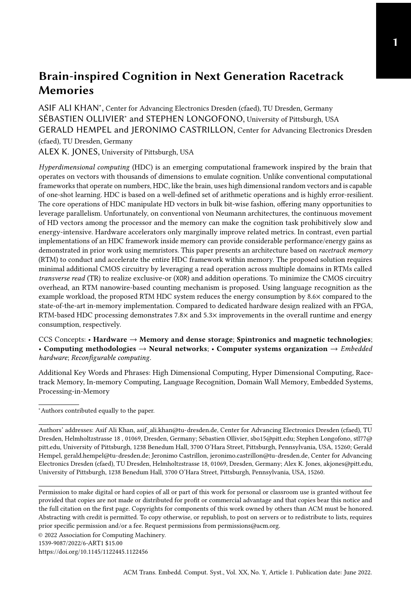In HDCR, we prefer decimal counters for the majority operation and the population count. As such, we use  $X = 5$ , delimited by APs in dark blue in Fig. [5b](#page-9-1) and with arrows in Fig. [5a.](#page-9-0) Note that each nanowire in the RTM counter only uses the domain between the access ports and the number of nanowires in the counter are defined by the counter size. For instance, in a decimal counter, i.e.,  $X = 5$ , a single nanowire can only count between 0 and 9 (see Fig. [5a\)](#page-9-0). If we want to count from 0 and 99, the RTM counter requires at least two nanowires. In general, for a decimal counter having size C, an RTM counter requires at least  $|\log_{10}(C)| + 1$  nanowires.

The RTM counter operates using the same principle as a Johnson counter. Let us assume a two-nanowire decimal counter that can count up to 99 and is initially set to 0 (see Fig. [5a\)](#page-9-0). The counter value at any instant in time is determined by the number of 1s between the APs and the state of bit  $P$ , the bit under AP2, i.e., the right AP in Fig. [5b.](#page-9-1) The bit  $P$  determines if the counter is in the first or second half of counting, in this case between 0-4 or between 5-9. For the decimal value 0, the  $X$  bits are all filled with 0s and hence the bit  $P$  is zero. If we want to increment the counter by four, for instance, four 1s need to be shifted under AP1, as shown in Fig. [5a.](#page-9-0) To count beyond 5, *i.e.*, when all bits between APs including the  $P$  bit are 1, 0s are shifted under AP1. The decision to shift a 1 or a 0 under AP1 is controlled by the P bit position: when  $P = 0$ , we interpret the counter value as the count of ones between access points, and when  $P = 1$ , we interpret the counter value as ten minus the count of ones (or five plus the count of zeros) between access points. To realize this behavior, toggling the value of  $P$  also toggles the value pushed into the nanowire when the counter is incremented, as shown for the decimal value 12 in Fig. [5a.](#page-9-0) The table of Fig. [5a](#page-9-0) represents all TR and  $P$  combinations and their associated values.

The RTM counter requires nanowires in DBCs to be shifted independently. This drastically increases the shift controller complexity since each nanowire AP position needs to be stored and controlled independently instead of a single position per DBC (512 nanowires). In order to reduce this impact on the nanowire shifting logic, we also used the notion of transverse write (TW) [\[39\]](#page-26-8). Traditionally, to perform a shift based write under the left AP on Fig. [5b,](#page-9-1) RWL<sub>0</sub> and one WWL<sub>0</sub> would be closed, the current flows through the fixed layer, one domain and then go to the ground, writing a new value and erasing the previous value under the left AP. However, by closing one  $WNL<sub>0</sub>$  and RWL1, while sending a higher current density, our design can perform a write operation and perform a partial shift along the nanowire rather than between the fixed layer and ground. We called it partial (i.e., segmented) shift since only the bits between the heads are shifted. Thus, a TW from the leftmost AP writes a value under that AP, and shifts the remaining bits between the APs to the right, erasing the bit that was under the right AP.

In the next section, we use these in-RTM compute-in-memory concepts and present our proposed architecture for HDCR. Further, we explain how the cim-tile operations implement each of the fundamental HDC operations.

## <span id="page-10-0"></span>4 HYPERDIMENSIONAL COMPUTING IN RACETRACK MEMORY

This section presents the implementation details of the proposed HDCR. It provides an overview of the overall system and explains the individual modules and their system integration.

# 4.1 Overview

Fig. [6](#page-11-0) presents an overview of the proposed in-RTM HDC system. As explained in Section [2.1,](#page-3-2) the 27 hypervectors of the input letters are initially mapped to the item memory, 9 DBCs in each subarray as shown in Fig. [6a.](#page-11-1) Note that for simplicity, we only show the cim-tiles in the subarrays. For the encoding operation, the hypervectors in the item memory are loaded into the encoder module. This requires the hypervectors in the item memory to be shifted and aligned to the port positions in their respective DBCs (Step 1.1 in Fig. [6b\)](#page-11-2). Subsequently, HDCR copies the hypervectors to the encoder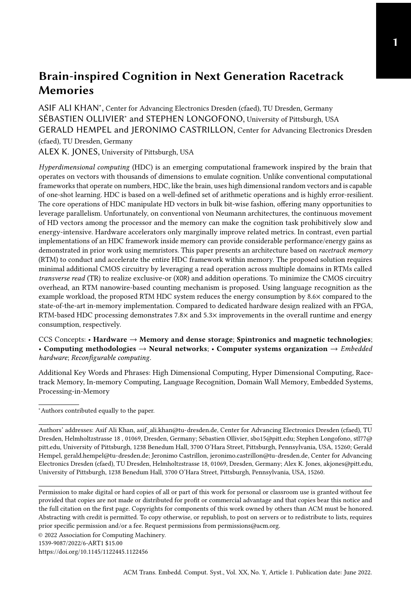<span id="page-11-2"></span><span id="page-11-1"></span><span id="page-11-0"></span>

Fig. 6. An overview of the HDCR. The figure shows hypervectors' mapping to cim-tiles and provides detail of the individual operations in HDCR. Note that all tiles shown in the figure are cim-tiles.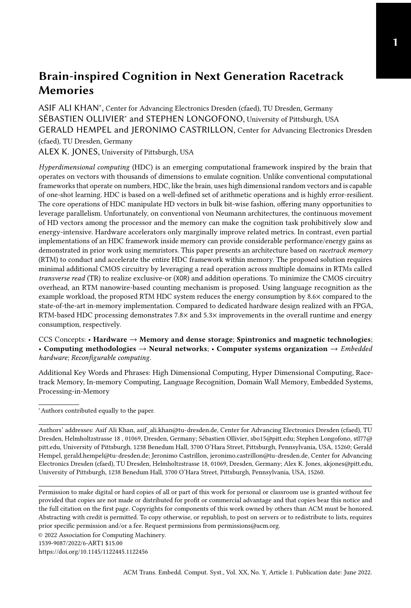<span id="page-12-0"></span>Algorithm 1 HDC Procedures

1: Global variables:  $V_z \leftarrow \emptyset$ ,  $\theta$ , AM, THR 2: ⊳ $\theta$  = item memory, AM = Associative memory, (cf. Section [2.2\)](#page-4-1) 3: function HDC TRAIN( $LS, \theta$ ) 4: ⊲LS: List of Lang strings for training 5: for all  $L_i \in LS$  do 6:  $\vec{\mathcal{L}}_i \leftarrow \text{Encoder}(L_i)$ 7: Store  $\vec{\mathcal{L}}_i$  in AM 8: return AM 9: function HDC CLASSIFY( $L, \theta, AM$ ) 10: ► ⊳L: Text string to be classified 11:  $\vec{\mathcal{T}} \leftarrow \text{ENCODE}(L)$ 12: LangLabel  $\leftarrow$  SIM CHECK( $\vec{\mathcal{T}}$ ) 13: Display:  $L$  is LangLabel language. 14: **function**  $\rho(\vec{e})$ 15:  $\vec{\eta} \leftarrow [\cdot], \vec{\psi} \leftarrow [\cdot]$ 16: PG\_size  $\leftarrow \frac{dim(\vec{e})}{T}$  $\triangleright T = 512$ 17: for  $Itr \leftarrow 0$  to PG size do 18: ⊲Rotate left within each SA 19:  $\vec{\eta} \leftarrow \text{rol} \left( \vec{e}_{\text{512-}Itr} \right]$ : [512·(*Itr*+1)]-1) 20: ⊲Concatenate rotated chunks 21:  $\vec{\psi}_{[512\cdot Itr];[512\cdot (Itr+1)]-1} \leftarrow \vec{\eta}$ 22: return  $\vec{\psi}$ 23: function SIM\_CHECK( $\mathcal{T}$ ) 24: for all  $\vec{\mathcal{L}}_i \in AM$  do 25: ⊳Implemented with TRs (cf. Sec [4.4\)](#page-16-0)  $\overrightarrow{54}$ :  $\overrightarrow{71}$ 26:  $d_H(\vec{\mathcal{T}}, \vec{\mathcal{L}}_i) \leftarrow \text{Hamdist}(\vec{\mathcal{T}}, \vec{\mathcal{L}}_i)$ 27: ►Implemented at the MemControl level 56: 28:  $\xi = \text{argmin}_{i \in \{1, ..., 22\}} (d_H(\vec{\mathcal{T}}, \vec{\mathcal{L}}_i))$ 29:  $\qquad$  return Label of language class  $\vec{\mathcal{L}}_{\mathcal{E}}$ 30: function ENCODE(String L) 31:  $\vec{v}_0 = \vec{v}_1 = \vec{v}_2 = \vec{v}_3 \leftarrow 0$ 32:  $N \leftarrow 4, D \leftarrow 8192$ 33:  $charCount \leftarrow 0$ 34: counters  $\leftarrow 0 \triangleright D$  counters in total 35: for all  $c_i \in L$  do 36:  $\vec{c}_i \leftarrow \theta(c_i) \triangleright \text{Read HV from IM}$ 37: ► ⊳Rotate HVs in the N-gram 38:  $\vec{v}_3 \leftarrow \rho(\vec{v}_2)$ 39:  $\vec{v}_2 \leftarrow \rho(\vec{v}_1)$ 40:  $\vec{v_1} \leftarrow \rho(\vec{v_0})$ 41:  $\vec{v_0} \leftarrow \vec{c_i}$  $42:$  charCount  $\leftarrow$  charCount + 1 43: **if**  $charCount \geq N$  then 44: ⊲XOR with a TR operation 45:  $\vec{\phi} = \vec{v}_0 \oplus \vec{v}_1 \oplus \vec{v}_2 \oplus \vec{v}_3$ 46: ⊲Push counters at all bit positions 47: for  $Itr \leftarrow 0$  to  $D$  do 48:  $\mathbf{if} \ \vec{\phi}_{Itr} = 1 \mathbf{then}$  $49:$  counters $I_{tr}$  + + 50: 51: ⊲Check all counters' state against THR 52: for  $Itr \leftarrow 0$  to D do 53: **if** counters $_{Itr}$  > THR then  $\mathcal{T}_{trr} \leftarrow 1$ 55: else 56:  $\vec{\mathcal{T}}_{Itr} \leftarrow 0$ 57: return  $\vec{\mathcal{T}}$ 

module implemented in DBC<sup>9</sup> of the subarray (see Step 1.2 in Fig. [6b](#page-11-2) and Line [36](#page-12-0) in Algorithm [1\)](#page-12-0). HDCR then permutes the hypervectors in the encoder module (see Lines [38-40](#page-12-0) in Algorithm [1\)](#page-12-0) and performs the XOR operation to generate their N-gram hypervector (see Step 1.3 in Fig. [6b](#page-11-2) and Line [45](#page-12-0) in Algorithm [1\)](#page-12-0). Since the N-grams represent  $N$  contiguous characters in the input text, the encoder module produces a new N-gram hypervector for each new character in the text. Thus for an input text of S characters, the encoder module generates  $S - N + 1$  hypervectors in total.

For each new N-gram hypervector, the counters for each bit position implemented in DBCs<sub>10−15</sub> are incremented based on the XOR result (see Step 1.4, Lines [47-49](#page-12-0) in Algorithm [1\)](#page-12-0). The counting module performs the majority operation on all N-gram hypervectors and generates a single hypervector based on the final counters' state (Step 1.4). In the training phase of the HDC this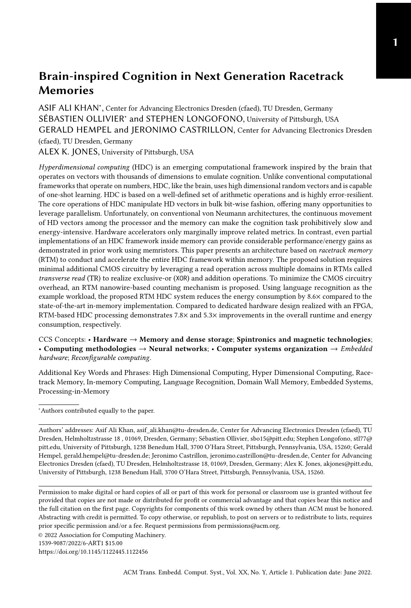generated hypervector represents a language class hypervector ( $\vec{\cal L}_i$ ). This is stored in the *associative*  $memory (AM)$ , and the process is repeated for all remaining languages. In contrast, during the inference phase, the resultant hypervector  $(\vec{\mathcal{T}}_i)$  represents the input text. After generating this hypervector, it is passed on to the similarity search module in Step 2 to classify it into one of the language classes, as shown in Fig. [6b.](#page-11-2) In the following sections, we provide the implementation details of the individual modules.

# 4.2 Item Memory

The HDC framework operates on  $D = 8192$  bit wide binary vectors. Since our DBCs are only 512 bits wide, this requires dividing the hypervectors into 16 chunks of 512 bits each to store the complete 8192-bit hypervector. These chunks can be stored in DBC(s) of the same subarray, as we are doing in Section [4.4,](#page-16-0) or in the same DBC (e.g.,  $DBC_i$ ) across 16 different subarrays. However, for the encoder module in HDCR, to enable performing the TR operation in parallel across all 8192 bit-positions, the HV chunks need to be distributed across different subarrays, as shown in Fig. [6a.](#page-11-1) This group of 16 subarrays sharing and manipulating chunks of the same hypervectors is referred to as a processing group (PG). A PG generates the output of a CIM operation on TRD hypervectors in a single cycle.

For the LR application, the item memory (IM) is composed of 27 hypervectors (HVs), one for each character of the Latin alphabet plus the space character  $\tau$  (see Section [2.2\)](#page-4-1). Since a DBC in our proposed system has 32 domains per nanowire, the 27 HVs can be stored in a single DBC (e.g.,  $DBC<sub>0</sub>$ ) across all subarrays in a PG. However, since each new character consumed from the input text accesses the IM to retrieve its corresponding HV, this tight packing of HVs in a single DBC can lead to a significant number of shift operations in RTM. In the worst case, access to the IM can incur  $27 - TRD = 23$  shifts, which stalls the other modules in HDCR and substantially increases the overall runtime. To overcome this, HDCR dedicates 9 DBCs (see Fig. [6a\)](#page-11-1) to the IM and distributes the HVs in the IM such that accessing an HV requires at most one RTM shift. That is, by placing each character HV directly at or adjacent to one of the two access ports, we can access the 18 HVs beneath the access ports without shifting, and the remaining 9 HVs by shifting by one position.

To efficiently map the character HVs into the IM, we profiled each language to rank the frequency of each character in our corpus. The most frequently occurring characters are then placed directly under the access ports, and the remaining characters are distributed among the bit positions adjacent to the access ports.

## 4.3 Encoding

The encoder module transforms the entire language into a representative vector (see Section [2.1\)](#page-3-2). From the implementation perspective, the encoder module performs three major operations, i.e., binding, permutation and bundling (see Fig. [6b\)](#page-11-2). In the following sections, we explain how these operations are implemented.

<span id="page-13-0"></span>4.3.1 Binding and Permutation in RTM. As explained in Section [2.1,](#page-3-2) the binding operation in HDC generates a new hypervector by  $XORing$  the permuted versions of the  $N$  character hypervectors which form each N-gram in the input text.

Initially, all hypervectors of the respective N-gram are iteratively loaded into the encoder module i.e., DBC<sub>9</sub> (see step 1.2 in Fig. [6b\)](#page-11-2). Depending on the HVs position in the IM, this may require a shift operation in RTM, as demonstrated in Fig. [6b](#page-11-2) (step 1.1). In the next step, the hypervectors are rotated by  $M$  times, where the value of  $M$  for a particular hypervector depends upon its position in the N-gram. This rotation is functionally equivalent to a bitwise circular shift, where the  $M$ most significant bits overwrite the  $M$  least significant bits after shifting the remaining 512 −  $M$  bits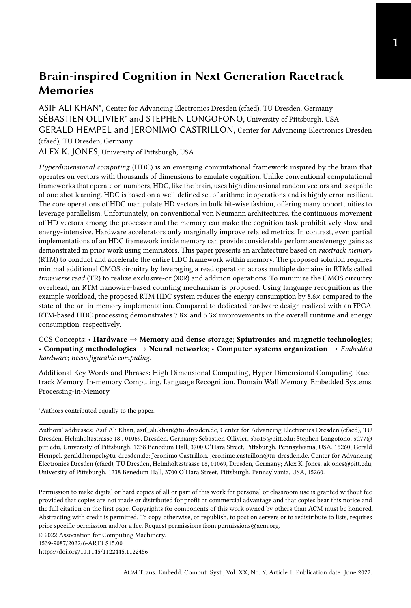left by  $M$  bit positions. Note that this shifting is different from the RTM nanowire shift operation. In this case, the HV bit positions along the nanowire do not change, rather the HV representing the character is shifted across all nanowires it spans, using the peripheral circuitry in Fig. [4a.](#page-8-1) For instance, for the first N-gram "dont" in the running example, the hypervector  $\vec{d}$  of the first character 'd' is rotated by 3, the hypervector  $\vec{o}$  is rotated by 2, the hypervector  $\vec{n}$  is rotated by 1, and the hypervector  $\vec{t}$  is taken unchanged. This is important for differentiating this permutation of these four characters from any other permutation.

To efficiently rotate a hypervector, which spans many DBCs, the rotate control signal is enabled and a read operation is performed on all subarrays in a PG. The resultant hypervector in the row-buffer is the rotated-by-one version of the original hypervector. A subsequent write command is issued to the RTM controller to update the new value in RTM. To perform a rotation by three, our RTM architecture will perform three rotated-by-one operations sequentially.

Note that rotating an entire 8192 bit HV in RTM requires considerable modifications to the RTM row buffer. The customization in Fig. [4a](#page-8-1) only allows rotating a 512-bit chunk of the HV, *i.e.*, rotation at the granularity of the subarray. HDCR performs chunk-wise permutation on all subarrays in a PG and concatenates the permuted chunks to generate the permuted HV, as demonstrated in Fig. [6b](#page-11-2) (Step 1.3) and Algorithm [1](#page-12-0) (Lines [19-21\)](#page-12-0). This chunk-wise rotation operation is reversible and the generated hypervector was empirically verified to not adversely impact the accuracy of the HDC framework.

Once the required  $N$  hypervectors for a particular N-gram are loaded and  $N-1$  (all but last) hypervectors are permuted, they are XORed together to generate the resultant N-gram hypervector  $(\vec{\phi}_i)$ . As described in Section [2.3,](#page-5-1) a TR operation and sense amplifiers detect how many ones exist between the TR access ports. When exactly one, three, or five 1s are detected, the logic in Fig. [4b](#page-8-2) asserts the XOR output, representing the XOR of all TRD operands.

This binding operation is performed iteratively for all N-grams in the input text. As the input text is consumed, each character hypervector in each N-gram is used at least  $N$  times in different permutations to generate N N-gram vectors. For instance, the hypervector  $\vec{t}$  is used as-is to generate the first N-gram vector in the running example. However, for the second N-gram ("ontr") vector,  $\vec{t}$ is rotated by 1. Similarly, for third and fourth N-gram vectors,  $\vec{t}$  is rotated by 2 and 3, respectively. Since the sequence of operations is known, we can reuse each permutation result in the next iteration to save execution cycles.

To accomplish this we leverage both upper and lower access points to align, read/shift into the row buffer, and then write back the rotated into the access points while minimizing alignment operations. The detailed approach is described in Algorithm [2](#page-15-0) referencing DBC locations from Fig. [3](#page-6-0) in the encoder DBC<sub>9</sub> shown in Fig. [6.](#page-11-0) Using the example, we first read  $\vec{v_0}$  and rotate and then write it back to complete  $p^1(\vec{n})$ . We then align  $\vec{v_1}$  with the lower access point to complete  $p^2(\vec{o})$ . We then align the outgoing  $\vec{v}_3$  with the upper access point to reset it to zero. We then align  $\vec{v}_2$  with the upper access point to complete  $p^3(\vec{d})$  and then align the lower access point to write  $\vec{t}$  from the IM.

As a result of the binding and permute operation, a new N-gram vector is generated and is consumed by the bundling unit, as explained in the next section. For the entire input text, a whole set of N-gram vectors is generated where each vector corresponds to an N-gram in the text. Recall,  $V_z$  represents all N-gram vectors of the input text (see Section [2\)](#page-3-0)<sup>[2](#page-14-0)</sup>. The bundling operation combines all elements in  $V_z$  by taking the bit-wise majority on each bit position, as explained in Section [2.](#page-3-0) In the next section, we discuss the implementation of bundling in HDCR.

<span id="page-14-0"></span> ${}^{2}V_{z}$  is distinct from  $V_{0.31}$ , which represents logical locations in the DBC (see Fig. [3\)](#page-6-0).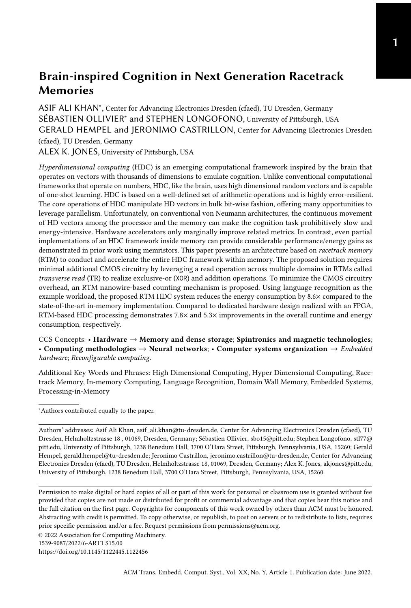<span id="page-15-0"></span>Algorithm 2 Memory operations required for computing an N-gram HV

1: ⊳ $\vec{v_i}$ ,  $i \in \{0, 1, 2, 3, 4\}$  represents HV stored in DBC locations 0,1,2,3,4, i.e., all five locations between APs (see Step 1.3 in Fig. [6b\)](#page-11-2) 2: ⊳At any time Shift (if necessary) to align  $\vec{c}_i$  to AP in IM 3: Algorithm Step:  $\vec{v_1} \leftarrow \rho(\vec{v_0})$  (see Line 40 in Algorithm [1\)](#page-12-0) 4: Memory operations: (i) Read  $\vec{v}_0$  (with rotate signal enabled) (ii) Write the row buffer contents to lower access point (old  $V_0$ , new  $V_1$ ) 5: Algorithm Step:  $\vec{v}_2 \leftarrow \rho(\vec{v}_1)$  (see Line 39 in Algorithm [1\)](#page-12-0) 6: Memory operations: (i) Shift down one position to align  $\vec{v_1}$  to lower AP (ii) Read  $\vec{v_1}$  (with rotate signal enabled) (iii) Write the row buffer contents to lower access point (old  $V_1$ , new  $V_2$ ) 7: Clear old  $\vec{v}_3$ : 8: Memory Operations (i) Shift up by three positions to align  $\vec{v}_3$  to upper AP while resetting row buffer (ii) Write the row buffer contents to upper access point (old  $V_3$ , new  $V_4$ ) 9: Algorithm Step:  $\vec{v}_3 \leftarrow \rho(\vec{v}_2)$  (see Line 38 in Algorithm [1\)](#page-12-0) 10: Memory operations: (i) Shift up by one position to align  $\vec{v}_2$  to AP (ii) Read  $\vec{v}_2$  (with rotate signal enabled) (iii) Shift to align DBC location three to AP (iv) Write the row buffer contents to the DBC upper access point (old  $V_2$ , new  $V_3$ ) 11: Algorithm Step:  $\vec{v}_0 \leftarrow \vec{c}_i$  (see Line 41 in Algorithm [1\)](#page-12-0) 12: Memory operations: (i) Shift down by one position to align DBC new  $V_0$  to lower AP and Read  $\vec{c}_i$ (ii) Write the row buffer contents to the DBC  $V_0$ 

4.3.2 Bundling Operation in RTM. Bundling in the HDC framework is a conjunctive operation that forms a representative vector for the set of N-gram hypervectors  $V_z$  (see Section [2.1\)](#page-3-2). Concretely, it computes a new hypervector  $\vec{\Gamma}$  by adding all hypervectors in  $V_z$ , i.e.,  $\vec{\Gamma} = \bigcup_{\vec{\Phi} \in V_z} \vec{\Phi}$ . Each component in  $\vec\Gamma$  is then compared to a fixed threshold to make it binary , *i.e.*,  $\forall i\in\{1,2,\ldots 8192\}, \vec{\mathcal{T}}_i=\beta_i,$  and

$$
\beta_i = \begin{cases} 1, & \text{if } \vec{\Gamma}_i > \text{threshold} \\ 0, & \text{otherwise} \end{cases}
$$

(see Algorithm [1,](#page-12-0) Lines [52-56\)](#page-12-0). The threshold value for binary hypervectors is typically the greatest integer less than 0.5 times the number of elements in  $V_z$ . For instance, for  $|V_z| = 55$ , the threshold value will be  $\lfloor 55 \times 0.5 \rfloor = 27$ , which also means that the resultant hypervector  $\vec{\mathcal{T}}$  is equivalent to the output of the *majority* function, *i.e.*,  $\vec{\mathcal{T}}$  = Majority(  $\vec{\Phi}$ ,  $\forall \vec{\Phi} \in V_z$ ).

HDCR uses RTM counters (see Section [3.2\)](#page-9-2) for each bit position to implement the majority function for  $|V_z|$  > TRD. As shown in Fig. [6b](#page-11-2) (step 1.2-1.4), each subarray dedicates DBCs<sub>10-15</sub> for RTM counters. At each bit position in a PG, the 6 nanowires in  $DBCs<sub>10−15</sub>$  are used to implement the counter for that particular position. With 6 nanowires, the RTM counters can count from 0 to 106−1, far more than what is required for the LR use case. For each new N-gram hypervector, HDCR updates all counters simultaneously based on the XOR result. Once a particular counter hits the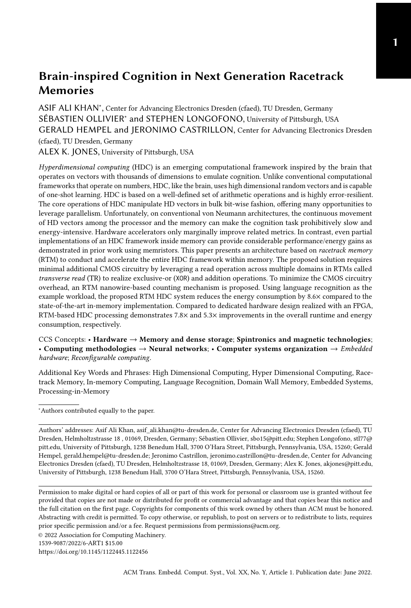threshold, it ignores subsequent incrementing. To simplify the thresholding, the memory controller can preset the state of the counter to  $M-T$  where  $M$  is the maximum value represented by the counter and  $T$  is the desired threshold. Thus, the thresholding does not require any additional logic and can be represented by the status of the  $P$  bit of the most-significant digit of the counter.

In our evaluated system, we have 128 PGs (see Section [5.1\)](#page-17-1). To reduce the overall runtime, the input text is divided into 128 chunks, and each chunk is provided to a separate PG. Once the computation in all PGs is finished, the majority output of all PGs is combined to make a single final vector. In the training phase of the HDC framework, this final computed hypervector represents the language (class) hypervector and is written to the AM (same DBCs as for item memory, i.e., DBCs<sub>0−9</sub> but different positions). In inference, this hypervector is referred to as the query hypervector and is compared to all class hypervectors to infer the final result, as shown in Fig. [6b](#page-11-2) (step 2) and explained in the next section.

## <span id="page-16-0"></span>4.4 Inference

The inference phase of the HDC framework uses the same encoding module to generate a query hypervector for the input text. Since the language class hypervectors are pre-generated in the training phase and are stored in the cim-tiles, classification is conducted by computing the Hamming distance of the query vector with all class vectors to find the closest match (see Section [2.1\)](#page-3-2).

This similarity search is encapsulated in a module which performs three main operations. First, the query hypervector is XORed with all class hypervectors for bit-wise matching. Subsequently, the Hamming weight is computed by performing a population count of set bits within each of the computed hypervectors. Finally, the language with the minimum Hamming weight is inferred as the output.

From the implementation perspective, HDCR uses one subarray per language hypervector. For the 22 language hypervectors, HDCR uses 22 subarrays (2 PGs). As shown in Fig. [7,](#page-16-1) the language vectors in subarrays are stored across different DBCs of the same subarray, unlike the encoding module which stores hypervectors across different subarrays. The query vector is then written to all 22 subarrays to compute the Hamming weights independently.

<span id="page-16-1"></span>

Fig. 7. Similarity search module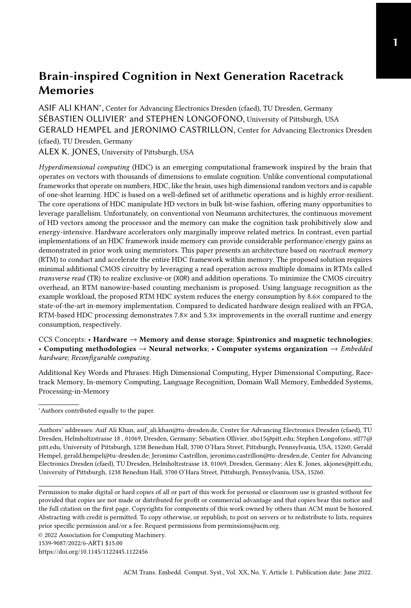The XOR operation generates 16×512 bits for each language. In each subarray (for each language), the 16 chunks are processed sequentially, with each iteration producing one 512-bit chunk of the XOR operation in a single cycle, and then storing the results adjacent to one another in the same DBC  $(DBC_{14}$  in Fig. [7\)](#page-16-1) for the subsequent population count operation. For each of these 16 parallel 512 bit results, the TR operation sequentially performs the '1' counting in DBC14. HDCR uses the TR result to shift bits in the RTM counter implemented in  $DBC_{15}$ , as shown in Fig. [7.](#page-16-1) Since the maximum count value in the similarity search module can be 8192, HDCR uses four nanowires for the RTM counter in this module. Note that, unlike the per-bit counting for the majority operation in the encoding module, the similarity search module uses a single RTM counter per DBC to find a single Hamming weight value per language. This necessitates the counters to be updated sequentially for all 512 TR outputs after each TR operation.

Once the counting operations of the inference is done, the TR and  $P$  values for all counters packed like in Fig. [8](#page-17-2) and sent sequentially to the memory controller for final input language selection.

<span id="page-17-2"></span>

| Index |                                                                                                                                                     |  |  | 18.22 | 24:51 |
|-------|-----------------------------------------------------------------------------------------------------------------------------------------------------|--|--|-------|-------|
|       | Value $TR_{00}$ . $TR_{04}$ $P_0$ $TR_{10}$ . $TR_{14}$ $P_1$ $TR_{20}$ . $TR_{24}$ $P_2$ $TR_{30}$ . $TR_{34}$ $P_3$ $\varnothing$ . $\varnothing$ |  |  |       |       |

Fig. 8. Example of packing TR and  $P$  values from the counters into local subarray rowbuffer.

# <span id="page-17-0"></span>5 EVALUATION

This section explains our experimental setup, provides details on the dataset, and compares our proposed system to state-of-the-art solutions for performance and energy consumption. Concretely, we evaluate and compare the following designs.

- HDCR: Our proposed in-RTM HDC system.
- FPGA: The FPGA based HDC system from [\[49\]](#page-26-4).
- PCM: The in-PCM HDC implementation from [\[21\]](#page-25-0).
- CPU: For the sake of completeness, we also compare to a software/CPU control.

#### <span id="page-17-1"></span>5.1 Experimental Setup

As a target system, we consider an RTM-based 8GB main memory that consists of 32 banks, having 64 subarrays each. A subarray consists of 16 tiles composed of 16 DBCs, which are 512 bits wide and have 32 columns/data domains per racetrack. We assume two access ports per nanowire and an operating clock frequency of 1000 MHz. The cim-tiles utilize a high throughput mode proposed in prior PIM work [\[7\]](#page-24-10). The peripheral circuitry in cim-tiles does not affect the storage capability or otherwise prevent its use to store data beyond the marginal delay of a single multiplexer. The majority of the latency overhead results from the reducing the number of domains between the ports, from 16 to 5, which increases the average shift distance in the cim-tiles. While the target technologies may be subject to different types of faults, the experiments here presume fault free operation to ensure a fair comparison, particularly with respect to PCM which has limited endurance. However, HDCR is is compatible with previous reliability schemes proposed in the literature as DECC [\[38\]](#page-25-1), or Hi-Fi [\[67\]](#page-27-1) and by employing these techniques the major fault mode of shift misalignment the intrinsic fault rate of circa 10<sup>-5</sup> can be reduced to circa 10<sup>-20</sup> with negligible performance penalty [\[67\]](#page-27-1). For the LR use case, the entire training and test data sets fit in RTM. However, since the proposed solution is generic and use case independent, the data sets can also be partially loaded into RTM as needed to accommodate larger inputs with the same size working set. The energy and latency numbers of the memory subsystem are estimated using the CIM architecture presented in [\[39\]](#page-26-8), the parameters from [\[66\]](#page-27-2) and are shown in Table [2.](#page-18-0)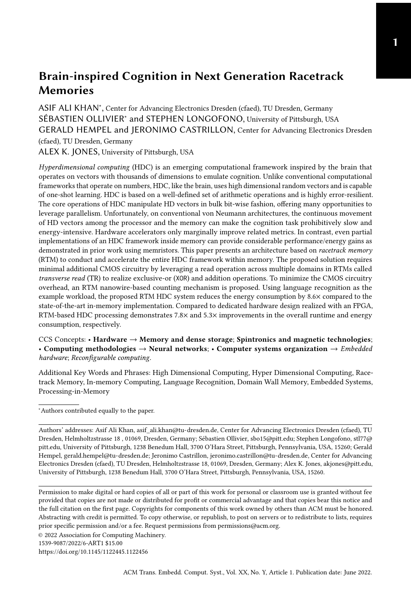| Domains per track     | 32           |
|-----------------------|--------------|
| Tracks per DBC        | 512          |
| Background power [mW] | 212          |
| rRead energy [pJ]/bit | 0.5          |
| Shift energy [pJ]/bit | 0.3          |
| Shift latency [Cycle] | 1            |
| Read latency [Cycle]  | $\mathbf{1}$ |
| Write latency [Cycle] | 1            |

<span id="page-18-0"></span>Table 2. RTM latency and energy parameters

<span id="page-18-1"></span>

Fig. 9. Runtime of HDC training on different platforms.

Baseline Systems: For the FPGA design, we use the System Verilog implementation from [\[49\]](#page-26-4). We synthesize the design on a Xilinx Virtex 7 FPGA (7vx1140tflg1930) using Vivado 19.2. The maximum clock frequency was 80 MHz and the device utilization is 61% and 23%, for LUTs and flip flops, respectively. We get the throughput result from the post place & route simulation, which was also used to record the switching characteristics of the design. The switching activity file is fed to the Vivado power estimator to get the overall energy consumption.

For the CPU results, we use an Intel® Core(TM) i7-5650U CPU @ 2.20 GHz, with 8 GB RAM. We use the C libraries for the LR use case from [\[11\]](#page-24-11). For comparison with the PCM configuration, we used the numbers reported in [\[21\]](#page-25-0).

# 5.2 Data Set

The language training data is taken from a corpora [\[46\]](#page-26-18), which contains sample texts in 22 languages. For inference, an independent data set from [\[29\]](#page-25-4) is used, which comprises 1000 sentences per language. The training, respectively the derivation of the language hypervectors, was carried out with the entire training data set, which contains a text of 120000-240000 words per language. The classification and thus the evaluation of the accuracy is carried out on multiple instances of one sentence per language. Concretely, 1000 tests with one sentence per test are performed for each language. We implement both the training and the inference phases of the HDC framework and report the results in the following sections.

#### 5.3 Performance Comparison

The runtime comparison for training and inference in HDCR and FPGA designs is presented in Fig. [9](#page-18-1) and Fig. [10,](#page-19-0) respectively. The runtime, and also the energy consumption in the next section, for the training and inference phases are computed and reported separately because training is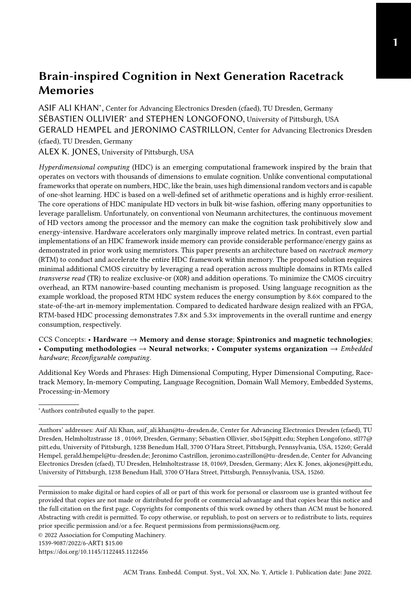<span id="page-19-0"></span>

Fig. 10. Runtime of the HDC inference on different platforms. The results are generated on average length input text for all languages.

typically performed once and in advance. In contrast, the inference is performed more frequently in real-world applications. Therefore, the measured values for the inference should be regarded as having a higher relevance. Since the runtime depends on the number of letters in the input text, which varies for different languages, the evaluation is performed for each language.

On average (geomean), HDCR is an order of magnitude faster compared to the FPGA design. Note that the FPGA implementation we used for comparison is already optimized for a high degree of concurrency and parallelism. All hypervectors are stored in registers, and encoding an N-gram requires only a single clock cycle, i.e., all N HVs are simultaneously permuted, and the XOR operation is performed directly in the same combinational path. This results in long combinational paths, which leads to a lower clock frequency of 80 MHz. The massively parallel implementation of bit operations on the vectors also results in an enormous consumption of resources, limiting the given FPGA design to large devices, e.g., from the Virtex 7 series. Unlike the encoding operation, the similarity check module compares HVs sequentially and requires 8192 cycles to compare the query HV to a single class HV. This module is replicated 22 times to compare to all languages simultaneously.

In HDC training, only the encoding module is used to encode large training texts<sup>[3](#page-19-1)</sup> into their respective class vectors. Despite the sequential rotation of hypervectors in HDCR, it outperforms the FPGA design by a geometric mean of  $\approx 10.2 \times$  (see Fig. [9\)](#page-18-1). This is mainly attributed to the smaller clock period in HDCR 1 ns compared to 12.5 ns in the FPGA design.

In HDC inference, due to the smaller input text<sup>[4](#page-19-2)</sup>, the overall runtime of the FPGA design is largely dominated by the similarity checking module. We use an average sentence size per language generated from all 1000 test sentences per language in the test data set for this evaluation. Again, despite the sequentiality in population counting, HDCR on average (geomean) reduces the runtime by  $\approx$  6 $\times$  compared to the FPGA design (see Fig. [10\)](#page-19-0). This is because the FPGA design performs the vector comparison sequentially while HDCR compares in 512-bit chunks, in parallel across languages.

We also synthesized the hardware to an ASIC 65 nm process using Cadence RTL Compiler to generate a performance comparison point consistent with the ASIC energy comparison point presented in the next section. The best achievable clock speed was 400 MHz which is approximately  $5\times$  faster than the FPGA implementation. The silicon required an area of 4.37 mm<sup>2</sup>, which is quite substantial for a single function accelerator. Given HDCR is more than 6 $\times$  faster for all operation modes and an ASIC implementation would be limited to the single task, HDCR provides a substantial benefit over custom silicon. For completeness of comparison, on the CPU machine, the training

<span id="page-19-1"></span> $^3 \rm{The}$  number of characters for the training texts was between 100000 and 200000.

<span id="page-19-2"></span> $^4{\rm The}$  number of characters for the test sentences was between 100 and 200 for all languages.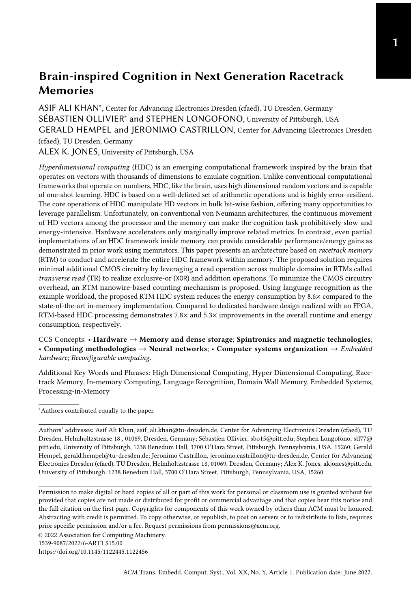<span id="page-20-0"></span>

Fig. 11. Energy consumption of the HDC training.

and inference modules require  $0.107 \times 10^3$  sec and  $0.095 \times 10^3$  sec for all 22 languages, which are four and seven orders of magnitude slower, respectively, compared to HDCR. The reason for this significant performance gap is that CPU machine requires a huge amount of data shuffling between the memory and the core [\[9\]](#page-24-12). Additionally, the HDCR performance gain is partially attributed to its custom in-memory compute units, e.g., the XOR implementation. Since the total energy consumption is dependent on the runtime, a similar trend is expected in the energy comparison of HDCR and the CPU machine.

#### 5.4 Energy Consumption

In terms of energy consumption, HDCR is comparable to the FPGA design during the HDC training phase (see Fig. [11\)](#page-20-0) and  $\approx$  5.3× better during the inference phase. In the similarity checking module alone, HDCR reduces the energy consumption by  $\approx$  95 $\times$  (see Fig. [12\)](#page-21-1). However, this is masked by the roughly equivalent energy consumption of the encoder module in both designs. The dominant impact on the energy consumption for the HDCR encoding phase is attributed to the parallel implementation of the majority operation with RTM counters. This requires 8192 counters which enable the required number of parallel bit-write operations. Since the energy consumption for RTM is proportional to such write operations, it is correspondingly large for the encoding step. The result presented in Fig. [11](#page-20-0) shows the energy consumption during the training phase, which includes the encoder. While the results vary less than 1% different between FPGA and HDCR, this analysis does not consider I/O energy associated with moving data to and from the accelerator. In both cases, the input letters need to be transferred from the main memory to the computing unit. While HDCR only needs the input letter to be read and sent to the RTM memory controller, the FPGA system must also forward the data on the bus to the FPGA implementation. This omission makes our results more conservative, but independent of how the external system interfaces the implementation. Regardless, the reduced inference-time energy allows the HDCR implementation to immediately realize a net energy benefit over the FPGA implementation as presented in Fig. [12.](#page-21-1)

In the case of inference, the similarity checking in HDRC requires a single counter per language, and the operation is performed only once. As soon as the bitwise comparison with the XOR operation is performed, the 1s in the resultant vector are aggregated using the TR operation and the RTM counter while the FPGA synthesizes a direct 1s counting circuit.

To summarize, with regard to the overall energy efficiency, the HDCR implementation reduces the energy consumption by 5.3× (geomean).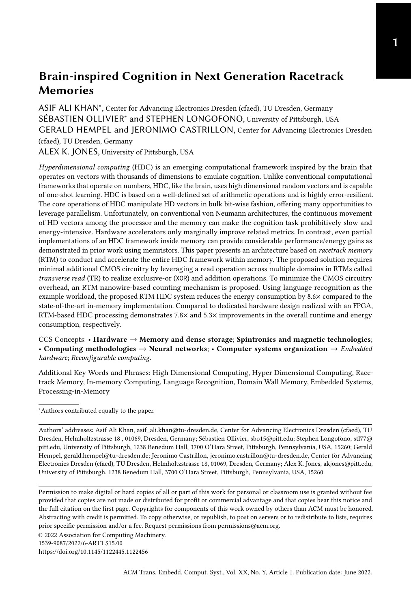<span id="page-21-1"></span>

Fig. 12. Energy consumption of different modules in the HDC inference.

# 5.5 Comparison between HDCR and PCM

In the paper from Karunaratne et al. [\[21\]](#page-25-0), they propose to use the novel PCM memory to implement HDC. This work does not report the latency of their implementation, thus here we only show the energy comparison. Table [3](#page-21-2) compares the inference energy consumption of the HDCR and PCM designs for an average-sized input text. Overall, HDCR outperforms the PCM design by  $10.1 \times$  in the encoding module and 1.08× in the similarity search module. Although the PCM design reports dramatic reduction in the energy consumption in the similarity checking module, largely due to parallel multiplications and current accumulation in the crossbar architecture, its overall energy consumption is still higher than HDCR. This is due to the higher write energy of the memristive devices compared to RTM. Comparing with the 65 nm CMOS-only design of the same reference, HDCR achieves a 51.6× improvement.

|  | Table 3. Average energy per query |  |  |  |
|--|-----------------------------------|--|--|--|
|--|-----------------------------------|--|--|--|

<span id="page-21-2"></span>

|                          |              | Encoder   Sim_Check   Total |              |
|--------------------------|--------------|-----------------------------|--------------|
| all-CMOS [nJ]            | 1474         | 1110                        | 2584         |
| $PCM$ [nJ]               | 420.8        | 9.44                        | 430.3        |
| HDCR[n]                  | 41.4         | 8.67                        | 50.07        |
| Improvement (PCM / HDCR) | $10.1\times$ | $1.08\times$                | $8.59\times$ |

# <span id="page-21-0"></span>6 RELATED WORK

Hyperdimensional computing has been used for learning and classification problems in many application domains. Among others, HDC has been used for analogy-based reasoning [\[20\]](#page-25-5), language classification [\[48\]](#page-26-3), hand gesture and activity recognition [\[37\]](#page-25-6), text classification [\[14\]](#page-24-13), and medical applications such as epileptic seizure detection [\[4\]](#page-24-14). Although compared to conventional learning algorithms, HDC is considered lightweight, the dimensionality of the hypervectors still makes HDC resource-intensive, particularly on embedded and IoT devices. To improve the performance and energy consumption of the HDC frameworks, they have been accelerated on various platforms. These include: FPGAs [\[52\]](#page-26-19), conventional CPUs and GPUs [\[6\]](#page-24-15), and domain-specific accelerators [\[15,](#page-24-16) [26,](#page-25-7) [36\]](#page-25-8). Since HDC is a memory-intensive application and is based on simple mathematical and logical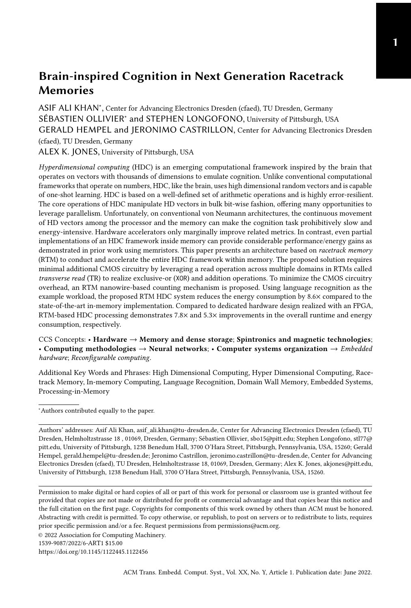operations, the in-memory compute capabilities of emerging nonvolatile memory technologies can be exploited to accelerate it.

Many recently proposed architectures conduct near- or in-memory computation using emerging nonvolatile memory technologies [\[30\]](#page-25-9), typically tuned to leverage the strength of the particular memory technology and the intended application. These works can be broadly categorized based on the underlying technology (phase-change memory (PCM), ReRAM, STT-MRAM), and further by how they conduct their processing (bitwise operations, arithmetic logic, vector multiplication).

Vector multiplication and arithmetic is a fundamental operation to many machine learning and neural network tasks. In HDC, the same is applied in the encoding and similarity search modules to compute the n-gram hypervector and similarity score. Karunaratne et al. [\[21\]](#page-25-0) implement dot-product operations using PCM in a crossbar architecture. Using an on-chip network and DAC/ADC circuits, smaller multiply-accumulate subarrays are composed to realize larger dotproduct results. Other recent work conducts 8-bit multiply accumulate logic for convolutional neural networks by converting the values from digital to analog and uses analog crossbar computation to obtain the results [\[22\]](#page-25-10). These, along with similar works leveraging ReRAM [\[31,](#page-25-11) [34,](#page-25-12) [63\]](#page-27-3) provide acceleration and improved energy consumption relative to GPU/CPU implementations, but offer limited flexibility for input size, limited accuracy associated with computation in the analog domain, and require additional area to interpret and accumulate the analog results. This makes such approaches unscalable for our target application.

Besides PCM and ReRAM, STT-MRAM technology can also be used for in-memory computation. For instance, HieIM [\[44\]](#page-26-20) and MLC-STT-CIM [\[40\]](#page-26-21) exploit customized STT-MRAM memories to conduct bitwise operations on memory contents and build arithmetic operations by combining bitwise operations. These designs offer energy and area benefits for simple large matrix operations such as convolution. Still, they are less efficient than other general PIM proposals and require customized cell designs, which are difficult to fabricate. A more efficient design in STT-CIM [\[16\]](#page-24-17) conducts computation by opening multiple rows and sensing the combined current on shared bitlines. Using modified reference voltages at the sense amplifiers allows OR, AND, and XOR operations, which are then composed to realize arithmetic operations. This is more efficient than prior designs since the additional circuitry is restricted to the sense amplifiers, and more realistic to fabricate since it does not modify the fundamental cell structures. Unfortunately, STT-MRAM designs require an access point and a fixed reference layer for every cell. While some of this area's cost is mitigated by the use of crossbar architecture, the density is limited to the feature size of the access network. A similar density limitation exists for computation using other non-volatile memories [\[32\]](#page-25-13), often with the added complication of limited endurance in the underlying memory cells. In contrast, planar racetrack memories only need as many access points as the length of the DBC, and in turn can achieve superior densities.

RTM was initially proposed as a secondary storage device [\[42,](#page-26-15) [43\]](#page-26-16). However, due to its promising characteristics, particularly its best-case SRAM class latency and high energy efficiency, RTM has been considered for application at all levels — from register file and instruction memory to SSDs in the memory stack. For instance, Mao and Wang et al. have proposed RTM-based GPU register files to combat the high leakage and scalability problems of conventional SRAM-based register files [\[35,](#page-25-14) [62\]](#page-27-4). Xu et al. evaluated RTM at lower cache levels and reported an energy reduction of 69% with comparable performance relative to an iso-capacity SRAM [\[64\]](#page-27-5) and explored the impact of lightweight compression to allow independent shifting [\[65\]](#page-27-6). Venkatesan et al. demonstrated RTM at last-level cache and reported significant improvements in area  $(6.4\times)$ , energy  $(1.4\times)$  and performance (25%) [\[59\]](#page-26-13). Park advocates the usage of RTM instead of SSD for graph storage which not only expedites graph processing but also reduces energy by up-to 90% [\[41\]](#page-26-22). Besides, RTMs have been proposed as scratchpad memories [\[24\]](#page-25-15), content addressable memories [\[68\]](#page-27-7), reconfigurable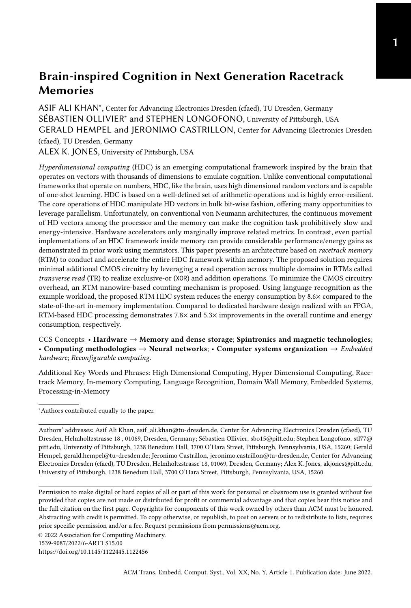memories [\[70\]](#page-27-8), and even as network buffers [\[27,](#page-25-16) [28\]](#page-25-17). A recent review on RTMs covers more details on the latest developments in RTMs and provides an exhaustive list of references on the application of RTM in the memory subsystem [\[2\]](#page-24-5).

There are relatively fewer instances of processing-in-memory applied to racetrack memories. The state-of-the-art offers three approaches: S-CNN [\[33\]](#page-25-18), DW-NN [\[66\]](#page-27-2), and PIRM [\[39\]](#page-26-8). SPIM adds a dedicated processing unit utilizing skyrmions that can compute logical OR and AND operations. Unfortunately, these operations require dedicated circuitry for a fixed number of operands, limiting the utility of the approach when more complex computation is required [\[39\]](#page-26-8). DW-NN uses dedicated racetrack pairs, which store data from either operand and compute logical functions by reading across the stacked magnetic domains. Simple XOR operations are computed directly, and in concert with an additional precharge sensing amplifier, can be used to compute a SUM and CARRY for addition. These results are then transferred to conventional racetracks, which can be shifted and summed to perform multiplication. Unfortunately, performance is bottlenecked in two places: first, the data must be read from the conventional racetracks to the paired racetracks one bit at a time. Second, each bit position in the paired nanowires must be shifted under the access port, serializing the computation. While the architecture offers an energy and throughput advantage compared to von Neumann, this serialization limits the utility of the approach. Finally, PIRM offers a more generalized computation framework, utilizing a more capable PIM-enabled tile to compute arbitrary logical operations, addition, and multiplication. PIRM accelerates computation by leveraging TR and multi-operands, and does not require specialized racetracks to do its work.

Our cim-tile uses the same philosophy as PIRM, but is tuned for the operations needed to compute HDC. Additionally, we explore new operations such as counters and majority determination. While prior work for HDC using in-memory PCM did not conduct a performance analysis, recent work for convolutional neural networks (CNNs) using a similar PIM approach did report 1.0 tera operations per second (TOPS) for 8-bit values. This is a significant improvement over FPGA capabilities which can achieve 0.34 TOPS [\[17\]](#page-24-18). However, compute-in-racetrack memory approaches can outperform this PCM result by an order of magnitude, for example with S-CNN achieving 9.3 TOPS. Given HDCR uses a similar mechanism to PIRM, and PIRM provides 26 TOPS for 8-bit CNN inference, we can expect similar order of magnitude speedups of HDCR over PCM for HDC applications.

#### <span id="page-23-0"></span>7 CONCLUSIONS

The data dimensionality and mathematical properties of the HDC frameworks make them ideal fits for in-memory computations. Many conventional and emerging memory technologies allow (partial) implementation of the HDC framework in-memory. In this paper, we present a complete racetrack memory based HDC system, requiring near-negligible additional CMOS logic. Most of the HDC operations are implemented with the TR operation that reports the number of 1s in the nanowire, exploiting its properties and magnetic domain (and domain wall) arrangements. For the majority and the population count operations, we propose RTM nanowires-based counters that are scaleable and area and energy-efficient compared to their CMOS counterparts. The hypervectors are organized in RTM in a way that allows maximum possible parallelism and minimum possible data movement. For the in-RTM computations, we dedicate one tile per subarray – the cim-tile – and make minimal but necessary changes to its peripheral circuitry. For the logic operations, a few additional multiplexing/selection gates are added to the row buffer circuitry to infer the transverse results into different HDC operations. Our hardware customization and extensions are negligible compared to other memory technologies, e.g., the power-hungry ADC/DAC converters, etc., in memristive devices. For the language recognition use case, our proposed system, on average, consumes 5.33× and 8.59× less energy compared to the state-of-the-art FPGA and PCM-crossbar designs, respectively.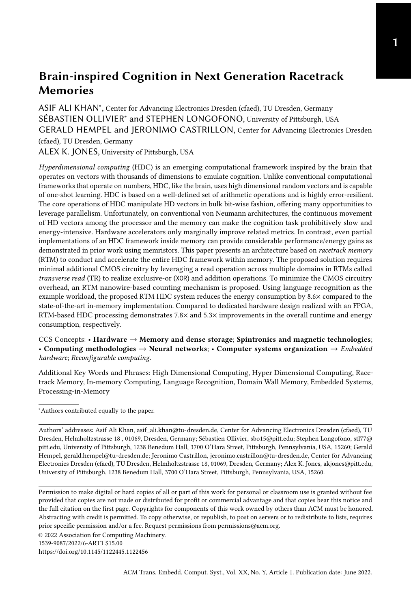#### ACKNOWLEDGMENTS

This work was partially funded by the German Research Council (DFG) through the TraceSymm project (366764507) and the Co4RTM project (450944241), and by the NSF awards 1822085 and 2133267 and by the laboratory of physical sciences (LPS) and NSA.

#### REFERENCES

- <span id="page-24-7"></span>[1] Samantha Archer, Georgios Mappouras, Robert Calderbank, and Daniel Sorin. 2020. Foosball coding: Correcting shift errors and bit flip errors in 3d racetrack memory. In 2020 50th Annual IEEE/IFIP International Conference on Dependable Systems and Networks (DSN). IEEE, 331–342.
- <span id="page-24-5"></span>[2] Robin Bläsing, Asif Ali Khan, Panagiotis Ch. Filippou, Chirag Garg, Fazal Hameed, Jeronimo Castrillon, and Stuart S. P. Parkin. 2020. Magnetic Racetrack Memory: From Physics to the Cusp of Applications Within a Decade. Proc. IEEE 108, 8 (2020), 1303–1321.<https://doi.org/10.1109/JPROC.2020.2975719>
- <span id="page-24-8"></span>[3] Robin Bläsing, Tianping Ma, See-Hun Yang, Chirag Garg, Fasil Kidane Dejene, Alpha T N'Diaye, Gong Chen, Kai Liu, and Stuart SP Parkin. 2018. Exchange coupling torque in ferrimagnetic Co/Gd bilayer maximized near angular momentum compensation temperature. Nature communications 9, 1 (2018), 1-8.
- <span id="page-24-14"></span>[4] Alessio Burrello, Lukas Cavigelli, Kaspar Schindler, Luca Benini, and Abbas Rahimi. 2019. Laelaps: An Energy-Efficient Seizure Detection Algorithm from Long-term Human iEEG Recordings without False Alarms. In 2019 Design, Automation Test in Europe Conference Exhibition (DATE). 752–757.<https://doi.org/10.23919/DATE.2019.8715186>
- <span id="page-24-3"></span>[5] Sohum Datta, Ryan A. G. Antonio, Aldrin R. S. Ison, and Jan M. Rabaey. 2019. A Programmable Hyper-Dimensional Processor Architecture for Human-Centric IoT. IEEE Journal on Emerging and Selected Topics in Circuits and Systems 9, 3 (2019), 439–452.<https://doi.org/10.1109/JETCAS.2019.2935464>
- <span id="page-24-15"></span>[6] Sohum Datta, Ryan A. G. Antonio, Aldrin R. S. Ison, and Jan M. Rabaey. 2019. A Programmable Hyper-Dimensional Processor Architecture for Human-Centric IoT. IEEE Journal on Emerging and Selected Topics in Circuits and Systems 9, 3 (2019), 439–452.<https://doi.org/10.1109/JETCAS.2019.2935464>
- <span id="page-24-10"></span>[7] Quan Deng, Lei Jiang, Youtao Zhang, Minxuan Zhang, and Jun Yang. 2018. Dracc: a dram based accelerator for accurate cnn inference. In Proceedings of the 55th Annual Design Automation Conference. 1–6.
- <span id="page-24-1"></span>[8] Lulu Ge and Keshab K Parhi. 2020. Classification using hyperdimensional computing: A review. IEEE Circuits and Systems Magazine 20, 2 (2020), 30–47.
- <span id="page-24-12"></span>[9] Saransh Gupta, Justin Morris, Mohsen Imani, Ranganathan Ramkumar, Jeffrey Yu, Aniket Tiwari, Baris Aksanli, and Tajana Šimunić Rosing. 2020. Thrifty: Training with hyperdimensional computing across flash hierarchy. In 2020 IEEE/ACM International Conference On Computer Aided Design (ICCAD). IEEE, 1–9.
- <span id="page-24-2"></span>[10] Eman Hassan, Yasmin Halawani, Baker Mohammad, and Hani Saleh. 2021. Hyper-Dimensional Computing Challenges and Opportunities for AI Applications. IEEE Access (2021).
- <span id="page-24-11"></span>[11] Michael Hersche et al. [n.d.]. HDlib. [https://github.com/skurella/hdlib.](https://github.com/skurella/hdlib) Accessed: 2022-02-22.
- <span id="page-24-6"></span>[12] Michael Hersche, José del R. Millán, Luca Benini, and Abbas Rahimi. 2018. Exploring Embedding Methods in Binary Hyperdimensional Computing: A Case Study for Motor-Imagery based Brain-Computer Interfaces. arXiv[:1812.05705](https://arxiv.org/abs/1812.05705) [eess.SP]
- <span id="page-24-4"></span>[13] Daniele Ielmini and H-S Philip Wong. 2018. In-memory computing with resistive switching devices. Nature Electronics 1, 6 (2018), 333–343.
- <span id="page-24-13"></span>[14] Mohsen Imani, Deqian Kong, Abbas Rahimi, and Tajana Rosing. 2017. VoiceHD: Hyperdimensional Computing for Efficient Speech Recognition. In 2017 IEEE International Conference on Rebooting Computing (ICRC). 1-8. [https:](https://doi.org/10.1109/ICRC.2017.8123650) [//doi.org/10.1109/ICRC.2017.8123650](https://doi.org/10.1109/ICRC.2017.8123650)
- <span id="page-24-16"></span>[15] Mohsen Imani, Zhuowen Zou, Samuel Bosch, Sanjay Anantha Rao, Sahand Salamat, Venkatesh Kumar, Yeseong Kim, and Tajana Rosing. 2021. Revisiting HyperDimensional Learning for FPGA and Low-Power Architectures. In 2021 IEEE International Symposium on High-Performance Computer Architecture (HPCA). 221–234. [https://doi.org/10.1109/](https://doi.org/10.1109/HPCA51647.2021.00028) [HPCA51647.2021.00028](https://doi.org/10.1109/HPCA51647.2021.00028)
- <span id="page-24-17"></span>[16] Shubham Jain, Ashish Ranjan, Kaushik Roy, and Anand Raghunathan. 2018. Computing in Memory With Spin-Transfer Torque Magnetic RAM. IEEE Transactions on Very Large Scale Integration (VLSI) Systems 26, 3 (2018), 470–483. <https://doi.org/10.1109/TVLSI.2017.2776954>
- <span id="page-24-18"></span>[17] Weiwen Jiang, Edwin H-M Sha, Xinyi Zhang, Lei Yang, Qingfeng Zhuge, Yiyu Shi, and Jingtong Hu. 2019. Achieving super-linear speedup across multi-fpga for real-time dnn inference. ACM Transactions on Embedded Computing Systems (TECS) 18, 5s (2019), 67.
- <span id="page-24-9"></span>[18] Pentti Kanerva. 1996. Binary spatter-coding of ordered K-tuples. In Artificial Neural Networks - ICANN 96. Springer Berlin Heidelberg, Berlin, Heidelberg, 869–873.
- <span id="page-24-0"></span>[19] Pentti Kanerva. 2009. Hyperdimensional Computing: An Introduction to Computing in Distributed Representation with High-Dimensional Random Vectors. Cognitive Computation 1 (06 2009), 139–159. [https://doi.org/10.1007/s12559-](https://doi.org/10.1007/s12559-009-9009-8)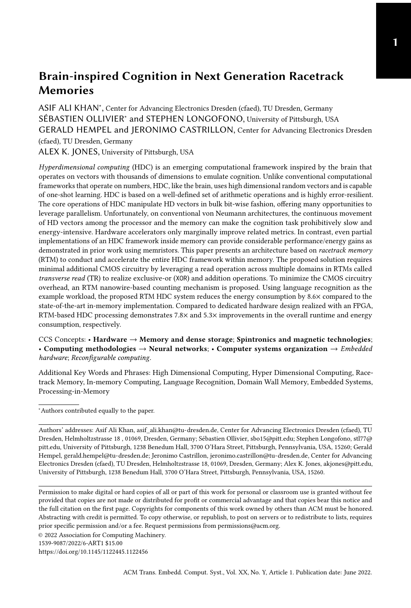[009-9009-8](https://doi.org/10.1007/s12559-009-9009-8)

- <span id="page-25-5"></span>[20] P. Kanerva. 2010. What We Mean When We Say "What's the Dollar of Mexico?": Prototypes and Mapping in Concept Space. In AAAI Fall Symposium: Quantum Informatics for Cognitive, Social, and Semantic Processes.
- <span id="page-25-0"></span>[21] Geethan Karunaratne, Manuel Gallo, Giovanni Cherubini, Luca Benini, Abbas Rahimi, and Abu Sebastian. 2020. Inmemory hyperdimensional computing. Nature Electronics 3 (2020), 327–337.<https://doi.org/10.1038/s41928-020-0410-3>
- <span id="page-25-10"></span>[22] Riduan Khaddam-Aljameh, Milos Stanisavljevic, Jordi Fornt Mas, Geethan Karunaratne, Matthias Brändli, Feng Liu, Abhairaj Singh, Silvia M Müller, Urs Egger, Anastasios Petropoulos, et al. 2022. HERMES-Core–A 1.59-TOPS/mm<sup>2</sup> PCM on 14-nm CMOS In-Memory Compute Core Using 300-ps/LSB Linearized CCO-Based ADCs. IEEE Journal of Solid-State Circuits (2022).
- <span id="page-25-2"></span>[23] Asif Ali Khan, Fazal Hameed, Robin Bläsing, Stuart SP Parkin, and Jeronimo Castrillon. 2019. Shiftsreduce: Minimizing shifts in racetrack memory 4.0. ACM Transactions on Architecture and Code Optimization (TACO) 16, 4 (2019), 1–23.
- <span id="page-25-15"></span>[24] Asif Ali Khan, Norman A. Rink, Fazal Hameed, and Jeronimo Castrillon. 2019. Optimizing Tensor Contractions for Embedded Devices with Racetrack Memory Scratch-Pads. In Proceedings of the 20th ACM SIGPLAN/SIGBED International Conference on Languages, Compilers, and Tools for Embedded Systems (Phoenix, AZ, USA) (LCTES 2019). Association for Computing Machinery, New York, NY, USA, 5–18.<https://doi.org/10.1145/3316482.3326351>
- <span id="page-25-3"></span>[25] Kab-Jin Kim, Se Kwon Kim, Yuushou Hirata, Se-Hyeok Oh, Takayuki Tono, Duck-Ho Kim, Takaya Okuno, Woo Seung Ham, Sanghoon Kim, Gyoungchoon Go, et al. 2017. Fast domain wall motion in the vicinity of the angular momentum compensation temperature of ferrimagnets. Nature materials 16, 12 (2017), 1187–1192.
- <span id="page-25-7"></span>[26] Yeseong Kim, Mohsen Imani, Niema Moshiri, and Tajana Rosing. 2020. Geniehd: Efficient dna pattern matching accelerator using hyperdimensional computing. In 2020 Design, Automation & Test in Europe Conference & Exhibition (DATE). IEEE, 115–120.
- <span id="page-25-16"></span>[27] Donald Kline, Haifeng Xu, Rami Melhem, and Alex K. Jones. 2015. Domain-wall memory buffer for low-energy NoCs. In 2015 52nd ACM/EDAC/IEEE Design Automation Conference (DAC). 1–6.<https://doi.org/10.1145/2744769.2744826>
- <span id="page-25-17"></span>[28] Donald Kline, Haifeng Xu, Rami Melhem, and Alex K Jones. 2018. Racetrack Queues for Extremely Low-Energy FIFOs. IEEE Transactions on Very Large Scale Integration (VLSI) Systems 99 (2018), 1–14.
- <span id="page-25-4"></span>[29] Philipp Koehn. 2005. Europarl: A Parallel Corpus for Statistical Machine Translation.
- <span id="page-25-9"></span>[30] Bing Li, Bonan Yan, and Hai Li. 2019. An Overview of In-Memory Processing with Emerging Non-Volatile Memory for Data-Intensive Applications. In Proceedings of the 2019 on Great Lakes Symposium on VLSI (Tysons Corner, VA, USA) (GLSVLSI '19). Association for Computing Machinery, New York, NY, USA, 381–386. [https://doi.org/10.1145/3299874.](https://doi.org/10.1145/3299874.3319452) [3319452](https://doi.org/10.1145/3299874.3319452)
- <span id="page-25-11"></span>[31] Haitong Li, Tony F. Wu, Abbas Rahimi, Kai-Shin Li, Miles Rusch, Chang-Hsien Lin, Juo-Luen Hsu, Mohamed M. Sabry, S. Burc Eryilmaz, Joon Sohn, Wen-Cheng Chiu, Min-Cheng Chen, Tsung-Ta Wu, Jia-Min Shieh, Wen-Kuan Yeh, Jan M. Rabaey, Subhasish Mitra, and H.-S. Philip Wong. 2016. Hyperdimensional computing with 3D VRRAM in-memory kernels: Device-architecture co-design for energy-efficient, error-resilient language recognition. In 2016 IEEE International Electron Devices Meeting (IEDM). 16.1.1–16.1.4.<https://doi.org/10.1109/IEDM.2016.7838428>
- <span id="page-25-13"></span>[32] Shuangchen Li, Cong Xu, Qiaosha Zou, Jishen Zhao, Yu Lu, and Yuan Xie. 2016. Pinatubo: A processing-in-memory architecture for bulk bitwise operations in emerging non-volatile memories. In Proceedings of the 53rd Annual Design Automation Conference. 1–6.
- <span id="page-25-18"></span>[33] Bicheng Liu, Shouzhen Gu, Mingsong Chen, Wang Kang, Jingtong Hu, Qingfeng Zhuge, and Edwin H-M Sha. 2017. An efficient racetrack memory-based Processing-in-memory architecture for convolutional neural networks. In 2017 IEEE International Symposium on Parallel and Distributed Processing with Applications and 2017 IEEE International Conference on Ubiquitous Computing and Communications (ISPA/IUCC). IEEE, 383–390.
- <span id="page-25-12"></span>[34] Jialong Liu, Mingyuan Ma, Zhenhua Zhu, Yu Wang, and Huazhong Yang. 2019. HDC-IM: Hyperdimensional Computing In-Memory Architecture based on RRAM. In 2019 26th IEEE International Conference on Electronics, Circuits and Systems (ICECS). 450–453.<https://doi.org/10.1109/ICECS46596.2019.8964906>
- <span id="page-25-14"></span>[35] Mengjie Mao, Wujie Wen, Yaojun Zhang, Yiran Chen, and Hai Li. 2017. An Energy-Efficient GPGPU Register File Architecture Using Racetrack Memory. IEEE Trans. Comput. 66, 9 (2017), 1478–1490.
- <span id="page-25-8"></span>[36] Fabio Montagna, Abbas Rahimi, Simone Benatti, Davide Rossi, and Luca Benini. 2018. PULP-HD: Accelerating Brain-Inspired High-Dimensional Computing on a Parallel Ultra-Low Power Platform. In 2018 55th ACM/ESDA/IEEE Design Automation Conference (DAC). 1–6.<https://doi.org/10.1109/DAC.2018.8465801>
- <span id="page-25-6"></span>[37] Justin Morris, Mohsen Imani, Samuel Bosch, Anthony Thomas, Helen Shu, and Tajana Rosing. 2019. CompHD: Efficient Hyperdimensional Computing Using Model Compression. In 2019 IEEE/ACM International Symposium on Low Power Electronics and Design (ISLPED). 1–6.<https://doi.org/10.1109/ISLPED.2019.8824908>
- <span id="page-25-1"></span>[38] Sébastien Ollivier, Donald Kline Jr., Roxy Kawsher, Rami Melhem, Sanjukta Banja, and Alex K. Jones. 2019. Leveraging Transverse Reads to Correct Alignment Faults in Domain Wall Memories. In Proceedings of the IEEE/IFIP Dependable Systems and Networks Conference (DSN). Portland, OR.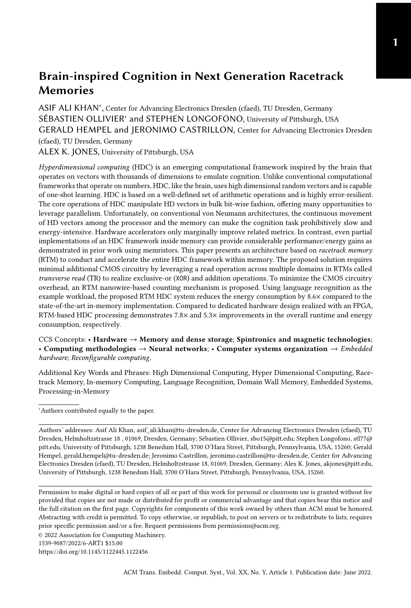- <span id="page-26-8"></span>[39] Sébastien Ollivier, Stephen Longofono, Prayash Dutta, Jingtong Hu, Sanjukta Bhanja, and Alex K. Jones. 2021. PIRM: Processing In Racetrack Memories. arXiV (August 2021). arXiv[:2108.00000](https://arxiv.org/abs/2108.00000)
- <span id="page-26-21"></span>[40] Yu Pan, Peng Ouyang, Yinglin Zhao, Wang Kang, Shouyi Yin, Youguang Zhang, Weisheng Zhao, and Shaojun Wei. 2018. A Multilevel Cell STT-MRAM-Based Computing In-Memory Accelerator for Binary Convolutional Neural Network. IEEE Transactions on Magnetics 54, 11 (2018), 1–5.<https://doi.org/10.1109/TMAG.2018.2848625>
- <span id="page-26-22"></span>[41] E. Park, S. Yoo, S. Lee, and H. Li. 2014. Accelerating graph computation with racetrack memory and pointer-assisted graph representation. In 2014 Design, Automation Test in Europe Conference Exhibition (DATE). 1–4. [https://doi.org/10.](https://doi.org/10.7873/DATE.2014.172) [7873/DATE.2014.172](https://doi.org/10.7873/DATE.2014.172)
- <span id="page-26-15"></span>[42] S. Parkin, M. Hayashi, and L. Thomas. 2008. Magnetic Domain-Wall Racetrack Memory. 320 (05 2008), 190–194.
- <span id="page-26-16"></span>[43] Stuart Parkin and See-Hun Yang. 2015. Memory on the Racetrack. 10 (03 2015), 195–198.
- <span id="page-26-20"></span>[44] Farhana Parveen, Zhezhi He, Shaahin Angizi, and Deliang Fan. 2018. HieIM: Highly Flexible in-Memory Computing Using STT MRAM. In Proceedings of the 23rd Asia and South Pacific Design Automation Conference (Jeju, Republic of Korea) (ASPDAC '18). IEEE Press, 361–366.
- <span id="page-26-17"></span>[45] Jorge Puebla, Junyeon Kim, Kouta Kondou, and Yoshichika Otani. 2020. Spintronic devices for energy-efficient data storage and energy harvesting. Communications Materials 1, 1 (2020), 1–9.
- <span id="page-26-18"></span>[46] Uwe Quasthoff, Matthias Richter, and Chris Biemann. 2006. Corpus Portal for Search in Monolingual Corpora. Proceedings of LREC-06 (01 2006).
- <span id="page-26-10"></span>[47] Abbas Rahimi et al. [n.d.]. HDC Language Recognition. [https://github.com/abbas-rahimi/HDC-Language-Recognition.](https://github.com/abbas-rahimi/HDC-Language-Recognition) Accessed: 2021-07-05.
- <span id="page-26-3"></span>[48] Abbas Rahimi, Sohum Datta, Denis Kleyko, Edward Paxon Frady, Bruno Olshausen, Pentti Kanerva, and Jan M. Rabaey. 2017. High-Dimensional Computing as a Nanoscalable Paradigm. IEEE Transactions on Circuits and Systems I: Regular Papers 64, 9 (2017), 2508–2521.<https://doi.org/10.1109/TCSI.2017.2705051>
- <span id="page-26-4"></span>[49] Abbas Rahimi, Pentti Kanerva, and Jan M. Rabaey. 2016. A Robust and Energy-Efficient Classifier Using Brain-Inspired Hyperdimensional Computing. In Proceedings of the 2016 International Symposium on Low Power Electronics and Design (San Francisco Airport, CA, USA) (ISLPED '16). Association for Computing Machinery, New York, NY, USA, 64–69. <https://doi.org/10.1145/2934583.2934624>
- <span id="page-26-5"></span>[50] Fabrizio Riente, Giovanna Turvani, Marco Vacca, and Mariagrazia Graziano. 2021. Parallel Computation in the Racetrack Memory. IEEE Transactions on Emerging Topics in Computing (2021), 1–1.<https://doi.org/10.1109/TETC.2021.3078061>
- <span id="page-26-7"></span>[51] Kawsher Roxy, Sébastien Ollivier, Arifa Hoque, Stephen Longofono, Alex K Jones, and Sanjukta Bhanja. 2020. A Novel Transverse Read Technique for Domain-Wall "Racetrack" Memories. IEEE Transactions on Nanotechnology 19 (2020), 648–652.
- <span id="page-26-19"></span>[52] Sahand Salamat, Mohsen Imani, Behnam Khaleghi, and Tajana Rosing. 2019. F5-HD: Fast Flexible FPGA-Based Framework for Refreshing Hyperdimensional Computing (FPGA '19). Association for Computing Machinery, New York, NY, USA, 53–62.<https://doi.org/10.1145/3289602.3293913>
- <span id="page-26-2"></span>[53] Sahand Salamat, Mohsen Imani, and Tajana Rosing. 2020. Accelerating hyperdimensional computing on fpgas by exploiting computational reuse. IEEE Trans. Comput. 69, 8 (2020), 1159–1171.
- <span id="page-26-9"></span>[54] Kenny Schlegel, Peer Neubert, and Peter Protzel. 2020. A comparison of vector symbolic architectures. arXiv preprint arXiv:2001.11797 (2020).
- <span id="page-26-6"></span>[55] Ali Shafiee, Anirban Nag, Naveen Muralimanohar, Rajeev Balasubramonian, John Paul Strachan, Miao Hu, R. Stanley Williams, and Vivek Srikumar. 2016. ISAAC: A Convolutional Neural Network Accelerator with In-Situ Analog Arithmetic in Crossbars. In 2016 ACM/IEEE 43rd Annual International Symposium on Computer Architecture (ISCA). 14–26.<https://doi.org/10.1109/ISCA.2016.12>
- <span id="page-26-1"></span>[56] Emma Strubell, Ananya Ganesh, and Andrew McCallum. 2019. Energy and Policy Considerations for Deep Learning in NLP. arXiv[:1906.02243](https://arxiv.org/abs/1906.02243) [cs.CL]
- <span id="page-26-0"></span>[57] Neil C. Thompson, Kristjan Greenewald, Keeheon Lee, and Gabriel F. Manso. 2020. The Computational Limits of Deep Learning. arXiv[:2007.05558](https://arxiv.org/abs/2007.05558) [cs.LG]
- <span id="page-26-11"></span>[58] Tommi Vatanen, Jaakko J Väyrynen, and Sami Virpioja. 2010. Language Identification of Short Text Segments with N-gram Models.. In LREC. Citeseer.
- <span id="page-26-13"></span>[59] Rangharajan Venkatesan, Vivek Kozhikkottu, Charles Augustine, Arijit Raychowdhury, Kaushik Roy, and Anand Raghunathan. 2012. TapeCache: A High Density, Energy Efficient Cache Based on Domain Wall Memory (ISLPED '12). ACM, New York, NY, USA, 185–190.<https://doi.org/10.1145/2333660.2333707>
- <span id="page-26-14"></span>[60] Rangharajan Venkatesan, Shankar Ganesh Ramasubramanian, Swagath Venkataramani, Kaushik Roy, and Anand Raghunathan. 2014. STAG: Spintronic-Tape Architecture for GPGPU Cache Hierarchies. In Proceeding of the 41st Annual International Symposium on Computer Architecuture (Minneapolis, Minnesota, USA) (ISCA '14). IEEE Press, 253–264.
- <span id="page-26-12"></span>[61] Rangharajan Venkatesan, Mrigank Sharad, Kaushik Roy, and Anand Raghunathan. 2013. DWM-TAPESTRI-an energy efficient all-spin cache using domain wall shift based writes. In Proc. of DATE. 1825–1830.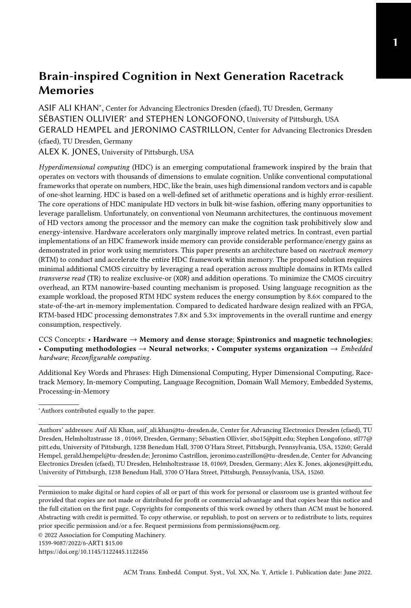- <span id="page-27-4"></span>[62] Shuo Wang, Yun Liang, Chao Zhang, Xiaolong Xie, Guangyu Sun, Yongpan Liu, Yu Wang, and Xiuhong Li. 2016. Performance-centric register file design for GPUs using racetrack memory. In 2016 21st Asia and South Pacific Design Automation Conference (ASP-DAC). 25–30.<https://doi.org/10.1109/ASPDAC.2016.7427984>
- <span id="page-27-3"></span>[63] Tony F. Wu, Haitong Li, Ping-Chen Huang, Abbas Rahimi, Gage Hills, Bryce Hodson, William Hwang, Jan M. Rabaey, H.-S. Philip Wong, Max M. Shulaker, and Subhasish Mitra. 2018. Hyperdimensional Computing Exploiting Carbon Nanotube FETs, Resistive RAM, and Their Monolithic 3D Integration. IEEE Journal of Solid-State Circuits 53, 11 (2018), 3183–3196.<https://doi.org/10.1109/JSSC.2018.2870560>
- <span id="page-27-5"></span>[64] H. Xu, Y. Alkabani, R. Melhem, and A. K. Jones. 2016. FusedCache: A Naturally Inclusive, Racetrack Memory, Dual-Level Private Cache. IEEE Transactions on Multi-Scale Computing Systems 2, 2 (April 2016), 69–82. [https:](https://doi.org/10.1109/TMSCS.2016.2536020) [//doi.org/10.1109/TMSCS.2016.2536020](https://doi.org/10.1109/TMSCS.2016.2536020)
- <span id="page-27-6"></span>[65] Haifeng Xu, Yong Li, Rami Melhem, and Alex K. Jones. 2015. Multilane Racetrack caches: Improving efficiency through compression and independent shifting. In The 20th Asia and South Pacific Design Automation Conference. 417–422. <https://doi.org/10.1109/ASPDAC.2015.7059042>
- <span id="page-27-2"></span>[66] Hao Yu, Yuhao Wang, Shuai Chen, Wei Fei, Chuliang Weng, Junfeng Zhao, and Zhulin Wei. 2014. Energy efficient inmemory machine learning for data intensive image-processing by non-volatile domain-wall memory. In 2014 19th Asia and South Pacific Design Automation Conference (ASP-DAC). 191–196.<https://doi.org/10.1109/ASPDAC.2014.6742888>
- <span id="page-27-1"></span>[67] Chao Zhang, Guangyu Sun, Xian Zhang, Weiqi Zhang, Weisheng Zhao, Tao Wang, Yun Liang, Yongpan Liu, Yu Wang, and Jiwu Shu. 2015. Hi-fi playback: Tolerating position errors in shift operations of racetrack memory. In ACM SIGARCH Computer Architecture News, Vol. 43-3. ACM, 694–706.
- <span id="page-27-7"></span>[68] Y. Zhang, W. Zhao, J. Klein, D. Ravelsona, and C. Chappert. 2012. Ultra-High Density Content Addressable Memory Based on Current Induced Domain Wall Motion in Magnetic Track. IEEE Transactions on Magnetics 48, 11 (Nov 2012), 3219–3222.<https://doi.org/10.1109/TMAG.2012.2198876>
- <span id="page-27-0"></span>[69] Yue Zhang, WS Zhao, Dafiné Ravelosona, J-O Klein, Joo-Von Kim, and Claude Chappert. 2012. Perpendicular-magneticanisotropy CoFeB racetrack memory. Journal of Applied Physics 111, 9 (2012), 093925.
- <span id="page-27-8"></span>[70] W. Zhao, N. Ben Romdhane, Y. Zhang, J. Klein, and D. Ravelosona. 2013. Racetrack memory based reconfigurable computing. In 2013 IEEE Faible Tension Faible Consommation. 1–4.<https://doi.org/10.1109/FTFC.2013.6577771>